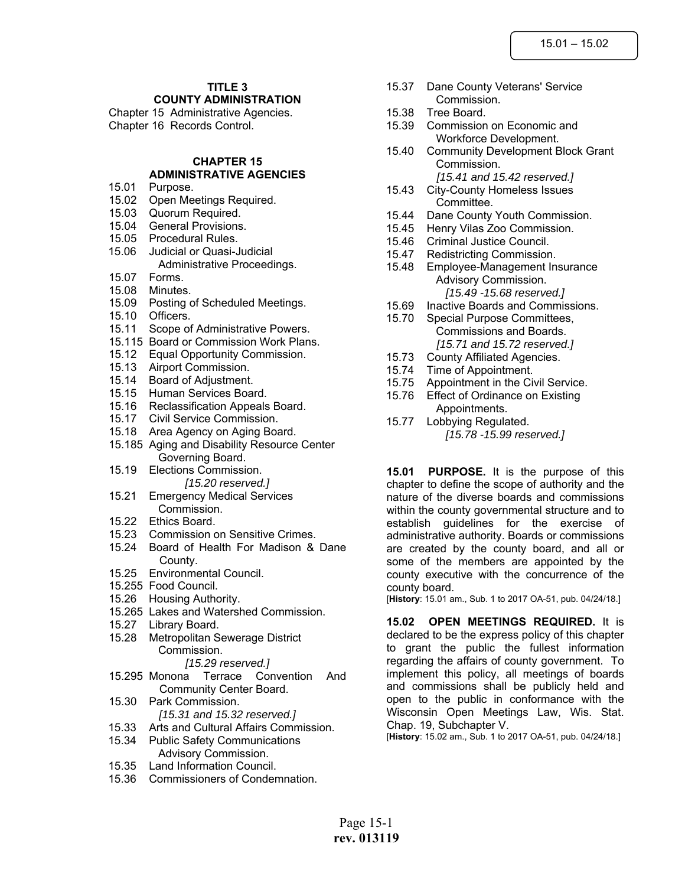# **TITLE 3**

**COUNTY ADMINISTRATION**

Chapter 15 Administrative Agencies. Chapter 16 Records Control.

#### **CHAPTER 15 ADMINISTRATIVE AGENCIES**

- 15.01 Purpose.
- 15.02 Open Meetings Required.
- 15.03 Quorum Required.
- 15.04 General Provisions.
- 15.05 Procedural Rules.
- 15.06 Judicial or Quasi-Judicial Administrative Proceedings.
- 15.07 Forms.
- 15.08 Minutes.
- 15.09 Posting of Scheduled Meetings.
- 15.10 Officers.
- 15.11 Scope of Administrative Powers.
- 15.115 Board or Commission Work Plans.
- 15.12 Equal Opportunity Commission.
- 15.13 Airport Commission.
- 15.14 Board of Adjustment.
- 15.15 Human Services Board.
- 15.16 Reclassification Appeals Board.
- 15.17 Civil Service Commission.
- 15.18 Area Agency on Aging Board.
- 15.185 Aging and Disability Resource Center Governing Board.
- 15.19 Elections Commission. *[15.20 reserved.]*
- 15.21 Emergency Medical Services Commission.
- 15.22 Ethics Board.
- 15.23 Commission on Sensitive Crimes.
- 15.24 Board of Health For Madison & Dane County.
- 15.25 Environmental Council.
- 15.255 Food Council.
- 15.26 Housing Authority.
- 15.265 Lakes and Watershed Commission.
- 15.27 Library Board.
- 15.28 Metropolitan Sewerage District Commission.

#### *[15.29 reserved.]*

- 15.295 Monona Terrace Convention And Community Center Board.
- 15.30 Park Commission. *[15.31 and 15.32 reserved.]*
- 15.33 Arts and Cultural Affairs Commission.
- 15.34 Public Safety Communications Advisory Commission.
- 15.35 Land Information Council.
- 15.36 Commissioners of Condemnation.
- 15.37 Dane County Veterans' Service Commission.
- 15.38 Tree Board.
- 15.39 Commission on Economic and Workforce Development.
- 15.40 Community Development Block Grant Commission. *[15.41 and 15.42 reserved.]*
- 15.43 City-County Homeless Issues Committee.
- 15.44 Dane County Youth Commission.
- 15.45 Henry Vilas Zoo Commission.
- 15.46 Criminal Justice Council.
- 15.47 Redistricting Commission.
- 15.48 Employee-Management Insurance Advisory Commission. *[15.49 -15.68 reserved.]*
- 15.69 Inactive Boards and Commissions.
- 15.70 Special Purpose Committees, Commissions and Boards. *[15.71 and 15.72 reserved.]*
- 15.73 County Affiliated Agencies.
- 15.74 Time of Appointment.
- 15.75 Appointment in the Civil Service.
- 15.76 Effect of Ordinance on Existing Appointments.
- 15.77 Lobbying Regulated. *[15.78 -15.99 reserved.]*

**15.01 PURPOSE.** It is the purpose of this chapter to define the scope of authority and the nature of the diverse boards and commissions within the county governmental structure and to establish guidelines for the exercise of administrative authority. Boards or commissions are created by the county board, and all or some of the members are appointed by the county executive with the concurrence of the county board.

[**History**: 15.01 am., Sub. 1 to 2017 OA-51, pub. 04/24/18.]

**15.02 OPEN MEETINGS REQUIRED.** It is declared to be the express policy of this chapter to grant the public the fullest information regarding the affairs of county government. To implement this policy, all meetings of boards and commissions shall be publicly held and open to the public in conformance with the Wisconsin Open Meetings Law, Wis. Stat. Chap. 19, Subchapter V.

[**History**: 15.02 am., Sub. 1 to 2017 OA-51, pub. 04/24/18.]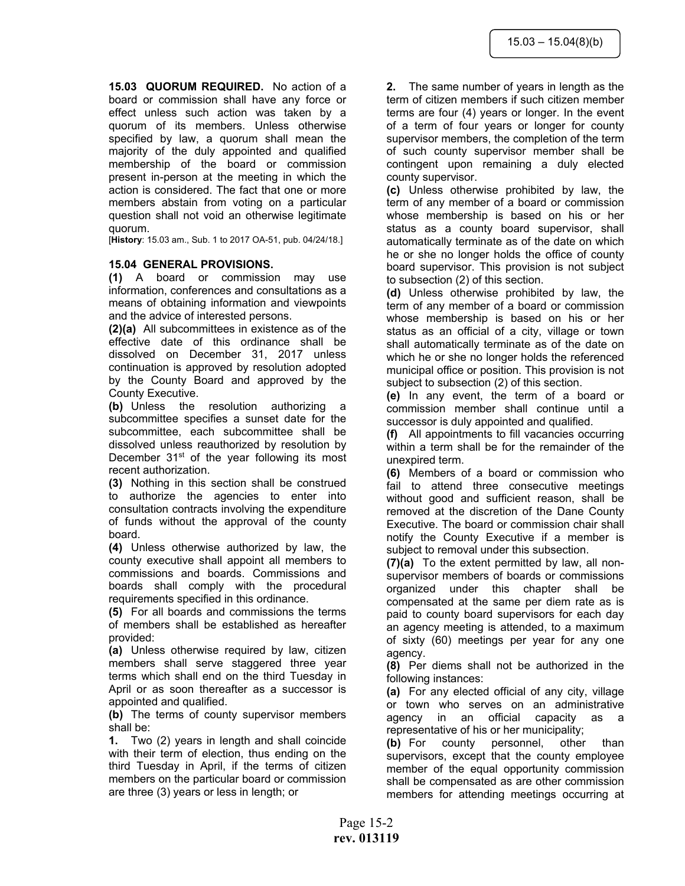**15.03 QUORUM REQUIRED.** No action of a board or commission shall have any force or effect unless such action was taken by a quorum of its members. Unless otherwise specified by law, a quorum shall mean the majority of the duly appointed and qualified membership of the board or commission present in-person at the meeting in which the action is considered. The fact that one or more members abstain from voting on a particular question shall not void an otherwise legitimate quorum.

[**History**: 15.03 am., Sub. 1 to 2017 OA-51, pub. 04/24/18.]

## **15.04 GENERAL PROVISIONS.**

**(1)** A board or commission may use information, conferences and consultations as a means of obtaining information and viewpoints and the advice of interested persons.

**(2)(a)** All subcommittees in existence as of the effective date of this ordinance shall be dissolved on December 31, 2017 unless continuation is approved by resolution adopted by the County Board and approved by the County Executive.

**(b)** Unless the resolution authorizing a subcommittee specifies a sunset date for the subcommittee, each subcommittee shall be dissolved unless reauthorized by resolution by December  $31<sup>st</sup>$  of the year following its most recent authorization.

**(3)** Nothing in this section shall be construed to authorize the agencies to enter into consultation contracts involving the expenditure of funds without the approval of the county board.

**(4)** Unless otherwise authorized by law, the county executive shall appoint all members to commissions and boards. Commissions and boards shall comply with the procedural requirements specified in this ordinance.

**(5)** For all boards and commissions the terms of members shall be established as hereafter provided:

**(a)** Unless otherwise required by law, citizen members shall serve staggered three year terms which shall end on the third Tuesday in April or as soon thereafter as a successor is appointed and qualified.

**(b)** The terms of county supervisor members shall be:

**1.** Two (2) years in length and shall coincide with their term of election, thus ending on the third Tuesday in April, if the terms of citizen members on the particular board or commission are three (3) years or less in length; or

**2.** The same number of years in length as the term of citizen members if such citizen member terms are four (4) years or longer. In the event of a term of four years or longer for county supervisor members, the completion of the term of such county supervisor member shall be contingent upon remaining a duly elected county supervisor.

**(c)** Unless otherwise prohibited by law, the term of any member of a board or commission whose membership is based on his or her status as a county board supervisor, shall automatically terminate as of the date on which he or she no longer holds the office of county board supervisor. This provision is not subject to subsection (2) of this section.

**(d)** Unless otherwise prohibited by law, the term of any member of a board or commission whose membership is based on his or her status as an official of a city, village or town shall automatically terminate as of the date on which he or she no longer holds the referenced municipal office or position. This provision is not subject to subsection (2) of this section.

**(e)** In any event, the term of a board or commission member shall continue until a successor is duly appointed and qualified.

**(f)** All appointments to fill vacancies occurring within a term shall be for the remainder of the unexpired term.

**(6)** Members of a board or commission who fail to attend three consecutive meetings without good and sufficient reason, shall be removed at the discretion of the Dane County Executive. The board or commission chair shall notify the County Executive if a member is subject to removal under this subsection.

**(7)(a)** To the extent permitted by law, all nonsupervisor members of boards or commissions organized under this chapter shall be compensated at the same per diem rate as is paid to county board supervisors for each day an agency meeting is attended, to a maximum of sixty (60) meetings per year for any one agency.

**(8)** Per diems shall not be authorized in the following instances:

**(a)** For any elected official of any city, village or town who serves on an administrative agency in an official capacity as a representative of his or her municipality;

**(b)** For county personnel, other than supervisors, except that the county employee member of the equal opportunity commission shall be compensated as are other commission members for attending meetings occurring at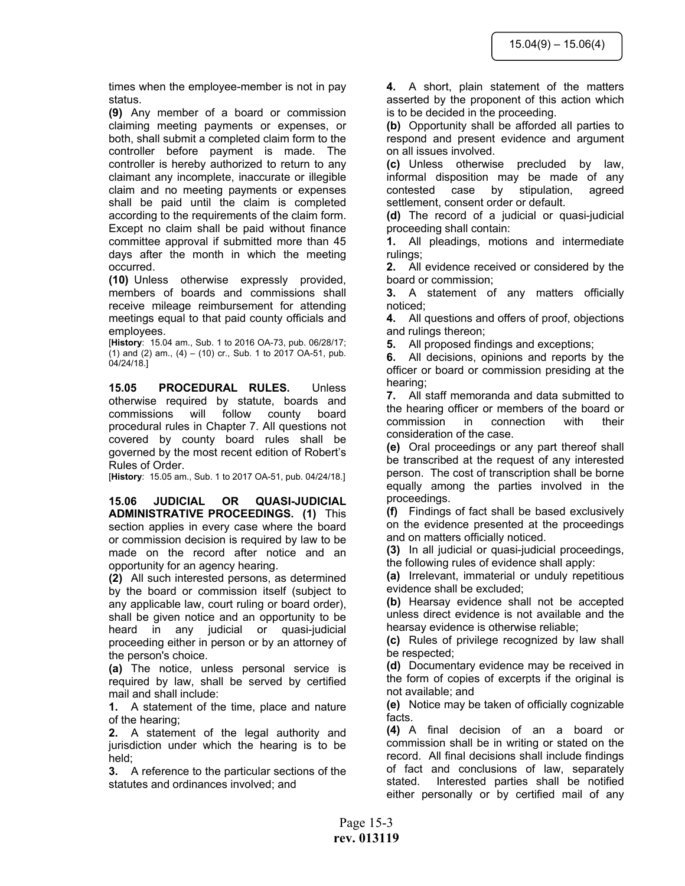times when the employee-member is not in pay status.

**(9)** Any member of a board or commission claiming meeting payments or expenses, or both, shall submit a completed claim form to the controller before payment is made. The controller is hereby authorized to return to any claimant any incomplete, inaccurate or illegible claim and no meeting payments or expenses shall be paid until the claim is completed according to the requirements of the claim form. Except no claim shall be paid without finance committee approval if submitted more than 45 days after the month in which the meeting occurred.

**(10)** Unless otherwise expressly provided, members of boards and commissions shall receive mileage reimbursement for attending meetings equal to that paid county officials and employees.

[**History**: 15.04 am., Sub. 1 to 2016 OA-73, pub. 06/28/17; (1) and (2) am., (4) – (10) cr., Sub. 1 to 2017 OA-51, pub. 04/24/18.]

**15.05 PROCEDURAL RULES.** Unless otherwise required by statute, boards and commissions will follow county board procedural rules in Chapter 7. All questions not covered by county board rules shall be governed by the most recent edition of Robert's Rules of Order.

[**History**: 15.05 am., Sub. 1 to 2017 OA-51, pub. 04/24/18.]

**15.06 JUDICIAL OR QUASI-JUDICIAL ADMINISTRATIVE PROCEEDINGS. (1)** This section applies in every case where the board or commission decision is required by law to be made on the record after notice and an opportunity for an agency hearing.

**(2)** All such interested persons, as determined by the board or commission itself (subject to any applicable law, court ruling or board order), shall be given notice and an opportunity to be heard in any judicial or quasi-judicial proceeding either in person or by an attorney of the person's choice.

**(a)** The notice, unless personal service is required by law, shall be served by certified mail and shall include:

**1.** A statement of the time, place and nature of the hearing;

**2.** A statement of the legal authority and jurisdiction under which the hearing is to be held;

**3.** A reference to the particular sections of the statutes and ordinances involved; and

**4.** A short, plain statement of the matters asserted by the proponent of this action which is to be decided in the proceeding.

**(b)** Opportunity shall be afforded all parties to respond and present evidence and argument on all issues involved.

**(c)** Unless otherwise precluded by law, informal disposition may be made of any contested case by stipulation, agreed settlement, consent order or default.

**(d)** The record of a judicial or quasi-judicial proceeding shall contain:

**1.** All pleadings, motions and intermediate rulings;

**2.** All evidence received or considered by the board or commission;

**3.** A statement of any matters officially noticed;

**4.** All questions and offers of proof, objections and rulings thereon;

**5.** All proposed findings and exceptions;

**6.** All decisions, opinions and reports by the officer or board or commission presiding at the hearing;

**7.** All staff memoranda and data submitted to the hearing officer or members of the board or commission in connection with their consideration of the case.

**(e)** Oral proceedings or any part thereof shall be transcribed at the request of any interested person. The cost of transcription shall be borne equally among the parties involved in the proceedings.

**(f)** Findings of fact shall be based exclusively on the evidence presented at the proceedings and on matters officially noticed.

**(3)** In all judicial or quasi-judicial proceedings, the following rules of evidence shall apply:

**(a)** Irrelevant, immaterial or unduly repetitious evidence shall be excluded;

**(b)** Hearsay evidence shall not be accepted unless direct evidence is not available and the hearsay evidence is otherwise reliable;

**(c)** Rules of privilege recognized by law shall be respected;

**(d)** Documentary evidence may be received in the form of copies of excerpts if the original is not available; and

**(e)** Notice may be taken of officially cognizable facts.

**(4)** A final decision of an a board or commission shall be in writing or stated on the record. All final decisions shall include findings of fact and conclusions of law, separately stated. Interested parties shall be notified either personally or by certified mail of any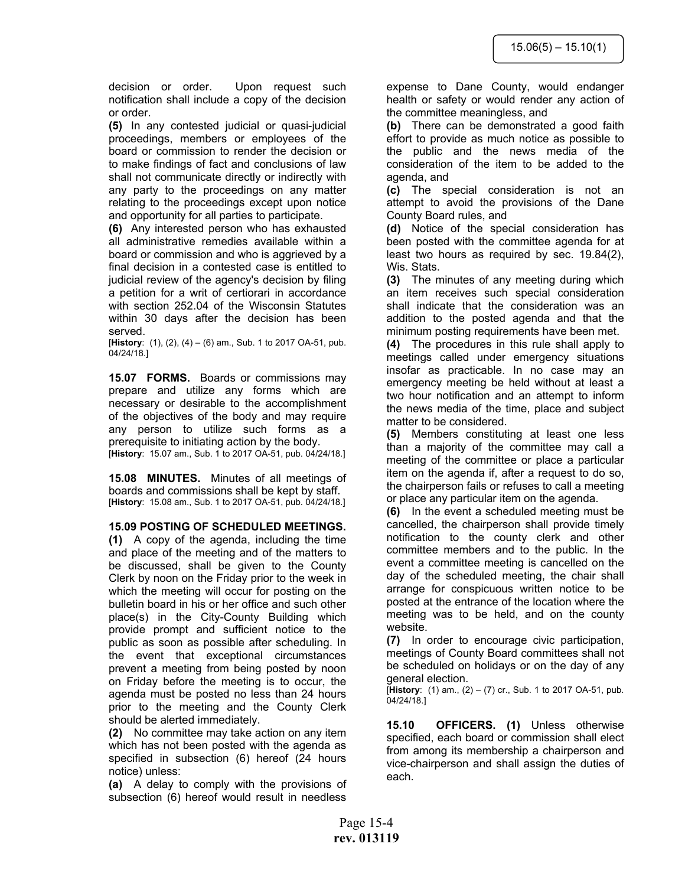decision or order. Upon request such notification shall include a copy of the decision or order.

**(5)** In any contested judicial or quasi-judicial proceedings, members or employees of the board or commission to render the decision or to make findings of fact and conclusions of law shall not communicate directly or indirectly with any party to the proceedings on any matter relating to the proceedings except upon notice and opportunity for all parties to participate.

**(6)** Any interested person who has exhausted all administrative remedies available within a board or commission and who is aggrieved by a final decision in a contested case is entitled to judicial review of the agency's decision by filing a petition for a writ of certiorari in accordance with section 252.04 of the Wisconsin Statutes within 30 days after the decision has been served.

[**History**: (1), (2), (4) – (6) am., Sub. 1 to 2017 OA-51, pub. 04/24/18.]

**15.07 FORMS.** Boards or commissions may prepare and utilize any forms which are necessary or desirable to the accomplishment of the objectives of the body and may require any person to utilize such forms as a prerequisite to initiating action by the body. [**History**: 15.07 am., Sub. 1 to 2017 OA-51, pub. 04/24/18.]

**15.08 MINUTES.** Minutes of all meetings of boards and commissions shall be kept by staff. [**History**: 15.08 am., Sub. 1 to 2017 OA-51, pub. 04/24/18.]

**15.09 POSTING OF SCHEDULED MEETINGS.**

**(1)** A copy of the agenda, including the time and place of the meeting and of the matters to be discussed, shall be given to the County Clerk by noon on the Friday prior to the week in which the meeting will occur for posting on the bulletin board in his or her office and such other place(s) in the City-County Building which provide prompt and sufficient notice to the public as soon as possible after scheduling. In the event that exceptional circumstances prevent a meeting from being posted by noon on Friday before the meeting is to occur, the agenda must be posted no less than 24 hours prior to the meeting and the County Clerk should be alerted immediately.

**(2)** No committee may take action on any item which has not been posted with the agenda as specified in subsection (6) hereof (24 hours notice) unless:

**(a)** A delay to comply with the provisions of subsection (6) hereof would result in needless

expense to Dane County, would endanger health or safety or would render any action of the committee meaningless, and

**(b)** There can be demonstrated a good faith effort to provide as much notice as possible to the public and the news media of the consideration of the item to be added to the agenda, and

**(c)** The special consideration is not an attempt to avoid the provisions of the Dane County Board rules, and

**(d)** Notice of the special consideration has been posted with the committee agenda for at least two hours as required by sec. 19.84(2), Wis. Stats.

**(3)** The minutes of any meeting during which an item receives such special consideration shall indicate that the consideration was an addition to the posted agenda and that the minimum posting requirements have been met.

**(4)** The procedures in this rule shall apply to meetings called under emergency situations insofar as practicable. In no case may an emergency meeting be held without at least a two hour notification and an attempt to inform the news media of the time, place and subject matter to be considered.

**(5)** Members constituting at least one less than a majority of the committee may call a meeting of the committee or place a particular item on the agenda if, after a request to do so, the chairperson fails or refuses to call a meeting or place any particular item on the agenda.

**(6)** In the event a scheduled meeting must be cancelled, the chairperson shall provide timely notification to the county clerk and other committee members and to the public. In the event a committee meeting is cancelled on the day of the scheduled meeting, the chair shall arrange for conspicuous written notice to be posted at the entrance of the location where the meeting was to be held, and on the county website.

**(7)** In order to encourage civic participation, meetings of County Board committees shall not be scheduled on holidays or on the day of any general election.

[**History**: (1) am., (2) – (7) cr., Sub. 1 to 2017 OA-51, pub. 04/24/18.]

**15.10 OFFICERS. (1)** Unless otherwise specified, each board or commission shall elect from among its membership a chairperson and vice-chairperson and shall assign the duties of each.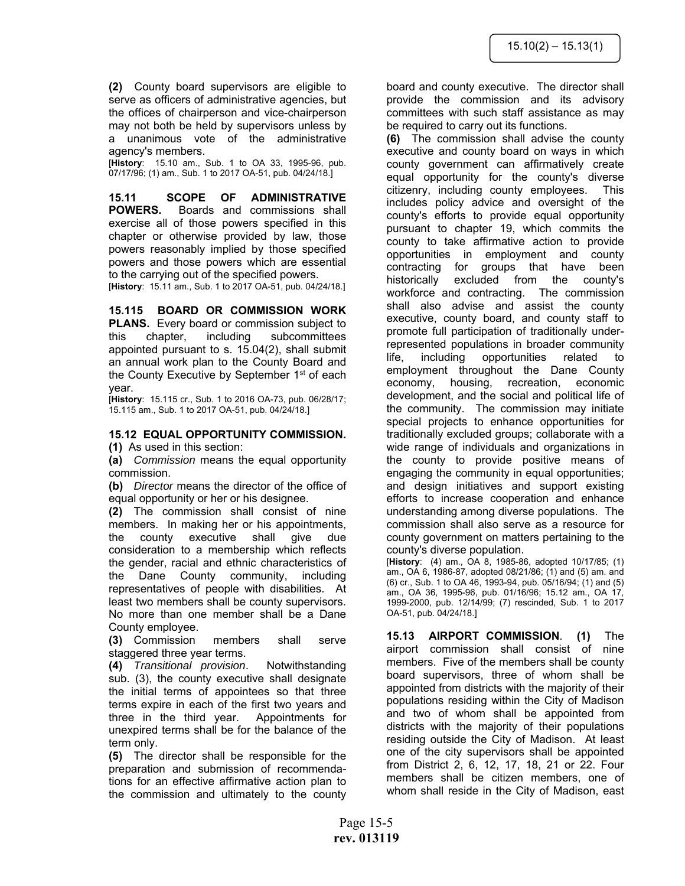**(2)** County board supervisors are eligible to serve as officers of administrative agencies, but the offices of chairperson and vice-chairperson may not both be held by supervisors unless by a unanimous vote of the administrative agency's members.

[**History**: 15.10 am., Sub. 1 to OA 33, 1995-96, pub. 07/17/96; (1) am., Sub. 1 to 2017 OA-51, pub. 04/24/18.]

**15.11 SCOPE OF ADMINISTRATIVE POWERS.** Boards and commissions shall exercise all of those powers specified in this chapter or otherwise provided by law, those powers reasonably implied by those specified powers and those powers which are essential to the carrying out of the specified powers.

[**History**: 15.11 am., Sub. 1 to 2017 OA-51, pub. 04/24/18.]

**15.115 BOARD OR COMMISSION WORK PLANS.** Every board or commission subject to this chapter, including subcommittees appointed pursuant to s. 15.04(2), shall submit an annual work plan to the County Board and the County Executive by September 1<sup>st</sup> of each

year. [**History**: 15.115 cr., Sub. 1 to 2016 OA-73, pub. 06/28/17; 15.115 am., Sub. 1 to 2017 OA-51, pub. 04/24/18.]

## **15.12 EQUAL OPPORTUNITY COMMISSION.**

**(1)** As used in this section:

**(a)** *Commission* means the equal opportunity commission.

**(b)** *Director* means the director of the office of equal opportunity or her or his designee.

**(2)** The commission shall consist of nine members. In making her or his appointments, the county executive shall give due consideration to a membership which reflects the gender, racial and ethnic characteristics of the Dane County community, including representatives of people with disabilities. At least two members shall be county supervisors. No more than one member shall be a Dane County employee.

**(3)** Commission members shall serve staggered three year terms.

**(4)** *Transitional provision*. Notwithstanding sub. (3), the county executive shall designate the initial terms of appointees so that three terms expire in each of the first two years and three in the third year. Appointments for unexpired terms shall be for the balance of the term only.

**(5)** The director shall be responsible for the preparation and submission of recommendations for an effective affirmative action plan to the commission and ultimately to the county board and county executive. The director shall provide the commission and its advisory committees with such staff assistance as may be required to carry out its functions.

**(6)** The commission shall advise the county executive and county board on ways in which county government can affirmatively create equal opportunity for the county's diverse citizenry, including county employees. This includes policy advice and oversight of the county's efforts to provide equal opportunity pursuant to chapter 19, which commits the county to take affirmative action to provide opportunities in employment and county contracting for groups that have been historically excluded from the county's workforce and contracting. The commission shall also advise and assist the county executive, county board, and county staff to promote full participation of traditionally underrepresented populations in broader community life, including opportunities related to employment throughout the Dane County economy, housing, recreation, economic development, and the social and political life of the community. The commission may initiate special projects to enhance opportunities for traditionally excluded groups; collaborate with a wide range of individuals and organizations in the county to provide positive means of engaging the community in equal opportunities; and design initiatives and support existing efforts to increase cooperation and enhance understanding among diverse populations. The commission shall also serve as a resource for county government on matters pertaining to the county's diverse population.

[**History**: (4) am., OA 8, 1985-86, adopted 10/17/85; (1) am., OA 6, 1986-87, adopted 08/21/86; (1) and (5) am. and (6) cr., Sub. 1 to OA 46, 1993-94, pub. 05/16/94; (1) and (5) am., OA 36, 1995-96, pub. 01/16/96; 15.12 am., OA 17, 1999-2000, pub. 12/14/99; (7) rescinded, Sub. 1 to 2017 OA-51, pub. 04/24/18.]

**15.13 AIRPORT COMMISSION**. **(1)** The airport commission shall consist of nine members. Five of the members shall be county board supervisors, three of whom shall be appointed from districts with the majority of their populations residing within the City of Madison and two of whom shall be appointed from districts with the majority of their populations residing outside the City of Madison. At least one of the city supervisors shall be appointed from District 2, 6, 12, 17, 18, 21 or 22. Four members shall be citizen members, one of whom shall reside in the City of Madison, east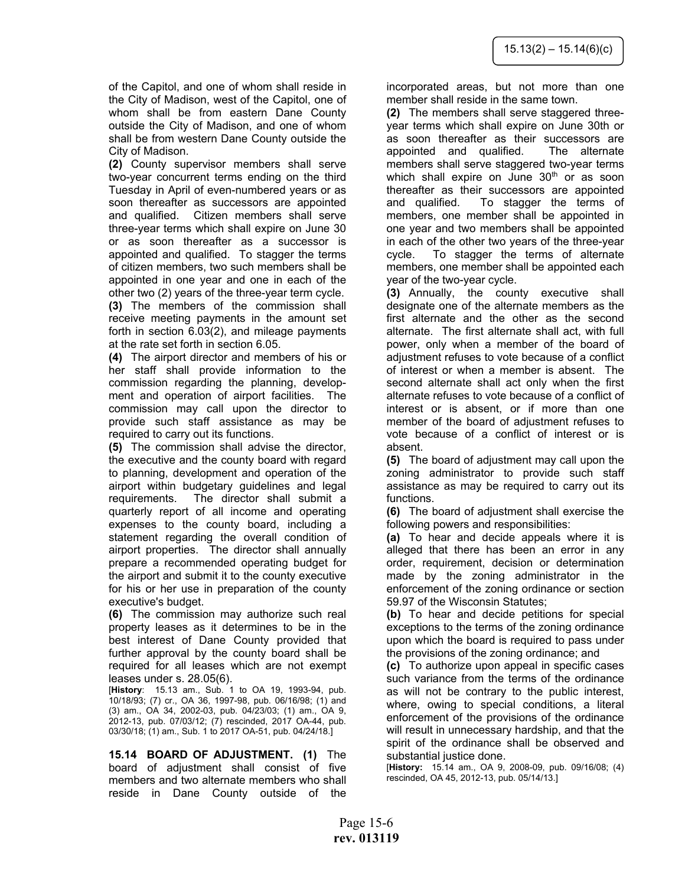of the Capitol, and one of whom shall reside in the City of Madison, west of the Capitol, one of whom shall be from eastern Dane County outside the City of Madison, and one of whom shall be from western Dane County outside the City of Madison.

**(2)** County supervisor members shall serve two-year concurrent terms ending on the third Tuesday in April of even-numbered years or as soon thereafter as successors are appointed and qualified. Citizen members shall serve three-year terms which shall expire on June 30 or as soon thereafter as a successor is appointed and qualified. To stagger the terms of citizen members, two such members shall be appointed in one year and one in each of the other two (2) years of the three-year term cycle. **(3)** The members of the commission shall receive meeting payments in the amount set forth in section 6.03(2), and mileage payments at the rate set forth in section 6.05.

**(4)** The airport director and members of his or her staff shall provide information to the commission regarding the planning, development and operation of airport facilities. The commission may call upon the director to provide such staff assistance as may be required to carry out its functions.

**(5)** The commission shall advise the director, the executive and the county board with regard to planning, development and operation of the airport within budgetary guidelines and legal requirements. The director shall submit a quarterly report of all income and operating expenses to the county board, including a statement regarding the overall condition of airport properties. The director shall annually prepare a recommended operating budget for the airport and submit it to the county executive for his or her use in preparation of the county executive's budget.

**(6)** The commission may authorize such real property leases as it determines to be in the best interest of Dane County provided that further approval by the county board shall be required for all leases which are not exempt leases under s. 28.05(6).

[**History**: 15.13 am., Sub. 1 to OA 19, 1993-94, pub. 10/18/93; (7) cr., OA 36, 1997-98, pub. 06/16/98; (1) and (3) am., OA 34, 2002-03, pub. 04/23/03; (1) am., OA 9, 2012-13, pub. 07/03/12; (7) rescinded, 2017 OA-44, pub. 03/30/18; (1) am., Sub. 1 to 2017 OA-51, pub. 04/24/18.]

**15.14 BOARD OF ADJUSTMENT. (1)** The board of adjustment shall consist of five members and two alternate members who shall reside in Dane County outside of the

incorporated areas, but not more than one member shall reside in the same town.

**(2)** The members shall serve staggered threeyear terms which shall expire on June 30th or as soon thereafter as their successors are appointed and qualified. The alternate members shall serve staggered two-year terms which shall expire on June  $30<sup>th</sup>$  or as soon thereafter as their successors are appointed and qualified. To stagger the terms of members, one member shall be appointed in one year and two members shall be appointed in each of the other two years of the three-year cycle. To stagger the terms of alternate members, one member shall be appointed each year of the two-year cycle.

**(3)** Annually, the county executive shall designate one of the alternate members as the first alternate and the other as the second alternate. The first alternate shall act, with full power, only when a member of the board of adjustment refuses to vote because of a conflict of interest or when a member is absent. The second alternate shall act only when the first alternate refuses to vote because of a conflict of interest or is absent, or if more than one member of the board of adjustment refuses to vote because of a conflict of interest or is absent.

**(5)** The board of adjustment may call upon the zoning administrator to provide such staff assistance as may be required to carry out its functions.

**(6)** The board of adjustment shall exercise the following powers and responsibilities:

**(a)** To hear and decide appeals where it is alleged that there has been an error in any order, requirement, decision or determination made by the zoning administrator in the enforcement of the zoning ordinance or section 59.97 of the Wisconsin Statutes;

**(b)** To hear and decide petitions for special exceptions to the terms of the zoning ordinance upon which the board is required to pass under the provisions of the zoning ordinance; and

**(c)** To authorize upon appeal in specific cases such variance from the terms of the ordinance as will not be contrary to the public interest, where, owing to special conditions, a literal enforcement of the provisions of the ordinance will result in unnecessary hardship, and that the spirit of the ordinance shall be observed and substantial justice done.

[**History:** 15.14 am., OA 9, 2008-09, pub. 09/16/08; (4) rescinded, OA 45, 2012-13, pub. 05/14/13.]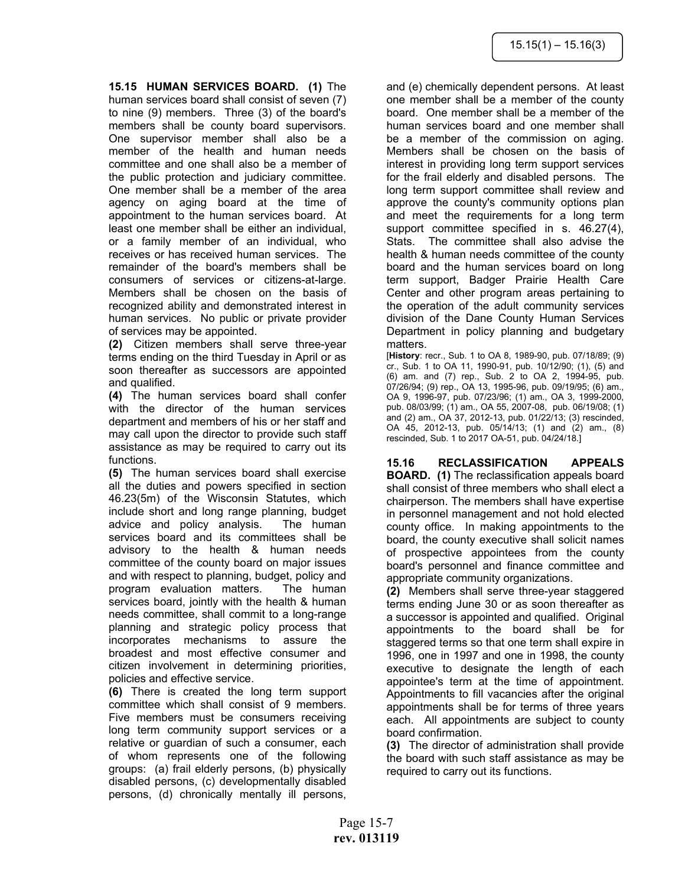**15.15 HUMAN SERVICES BOARD. (1)** The human services board shall consist of seven (7) to nine (9) members. Three (3) of the board's members shall be county board supervisors. One supervisor member shall also be a member of the health and human needs committee and one shall also be a member of the public protection and judiciary committee. One member shall be a member of the area agency on aging board at the time of appointment to the human services board. At least one member shall be either an individual, or a family member of an individual, who receives or has received human services. The remainder of the board's members shall be consumers of services or citizens-at-large. Members shall be chosen on the basis of recognized ability and demonstrated interest in human services. No public or private provider of services may be appointed.

**(2)** Citizen members shall serve three-year terms ending on the third Tuesday in April or as soon thereafter as successors are appointed and qualified.

**(4)** The human services board shall confer with the director of the human services department and members of his or her staff and may call upon the director to provide such staff assistance as may be required to carry out its functions.

**(5)** The human services board shall exercise all the duties and powers specified in section 46.23(5m) of the Wisconsin Statutes, which include short and long range planning, budget advice and policy analysis. The human services board and its committees shall be advisory to the health & human needs committee of the county board on major issues and with respect to planning, budget, policy and program evaluation matters. The human services board, jointly with the health & human needs committee, shall commit to a long-range planning and strategic policy process that incorporates mechanisms to assure the broadest and most effective consumer and citizen involvement in determining priorities, policies and effective service.

**(6)** There is created the long term support committee which shall consist of 9 members. Five members must be consumers receiving long term community support services or a relative or guardian of such a consumer, each of whom represents one of the following groups: (a) frail elderly persons, (b) physically disabled persons, (c) developmentally disabled persons, (d) chronically mentally ill persons,

and (e) chemically dependent persons. At least one member shall be a member of the county board. One member shall be a member of the human services board and one member shall be a member of the commission on aging. Members shall be chosen on the basis of interest in providing long term support services for the frail elderly and disabled persons. The long term support committee shall review and approve the county's community options plan and meet the requirements for a long term support committee specified in s. 46.27(4), Stats. The committee shall also advise the health & human needs committee of the county board and the human services board on long term support, Badger Prairie Health Care Center and other program areas pertaining to the operation of the adult community services division of the Dane County Human Services Department in policy planning and budgetary matters.

[**History**: recr., Sub. 1 to OA 8, 1989-90, pub. 07/18/89; (9) cr., Sub. 1 to OA 11, 1990-91, pub. 10/12/90; (1), (5) and (6) am. and (7) rep., Sub. 2 to OA 2, 1994-95, pub. 07/26/94; (9) rep., OA 13, 1995-96, pub. 09/19/95; (6) am., OA 9, 1996-97, pub. 07/23/96; (1) am., OA 3, 1999-2000, pub. 08/03/99; (1) am., OA 55, 2007-08, pub. 06/19/08; (1) and (2) am., OA 37, 2012-13, pub. 01/22/13; (3) rescinded, OA 45, 2012-13, pub. 05/14/13; (1) and (2) am., (8) rescinded, Sub. 1 to 2017 OA-51, pub. 04/24/18.]

**15.16 RECLASSIFICATION APPEALS BOARD. (1)** The reclassification appeals board shall consist of three members who shall elect a chairperson. The members shall have expertise in personnel management and not hold elected county office. In making appointments to the board, the county executive shall solicit names of prospective appointees from the county board's personnel and finance committee and appropriate community organizations.

**(2)** Members shall serve three-year staggered terms ending June 30 or as soon thereafter as a successor is appointed and qualified. Original appointments to the board shall be for staggered terms so that one term shall expire in 1996, one in 1997 and one in 1998, the county executive to designate the length of each appointee's term at the time of appointment. Appointments to fill vacancies after the original appointments shall be for terms of three years each. All appointments are subject to county board confirmation.

**(3)** The director of administration shall provide the board with such staff assistance as may be required to carry out its functions.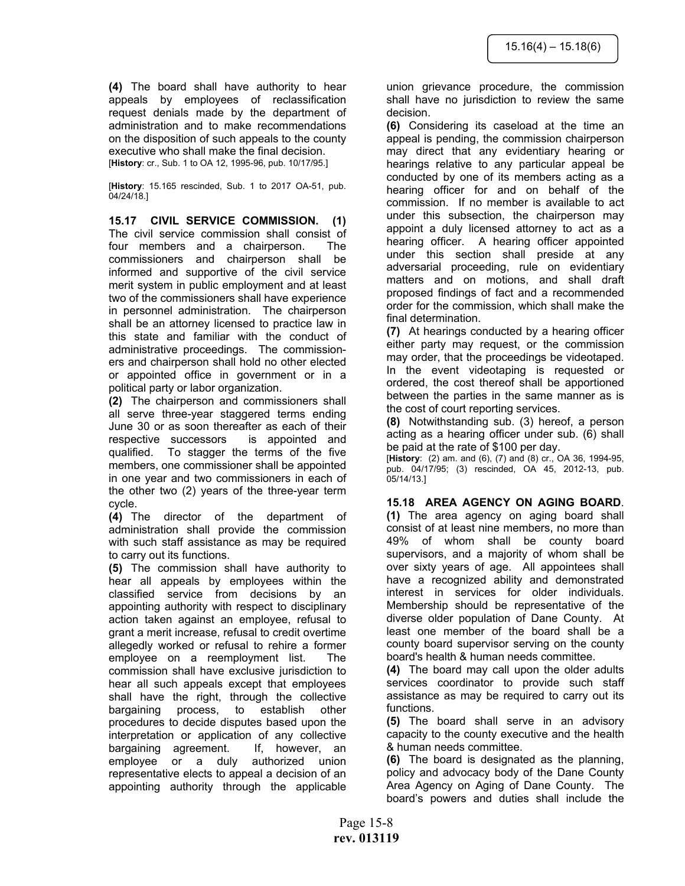**(4)** The board shall have authority to hear appeals by employees of reclassification request denials made by the department of administration and to make recommendations on the disposition of such appeals to the county executive who shall make the final decision. [**History**: cr., Sub. 1 to OA 12, 1995-96, pub. 10/17/95.]

[**History**: 15.165 rescinded, Sub. 1 to 2017 OA-51, pub. 04/24/18.]

**15.17 CIVIL SERVICE COMMISSION. (1)** The civil service commission shall consist of four members and a chairperson. The commissioners and chairperson shall be informed and supportive of the civil service merit system in public employment and at least two of the commissioners shall have experience in personnel administration. The chairperson shall be an attorney licensed to practice law in this state and familiar with the conduct of administrative proceedings. The commissioners and chairperson shall hold no other elected or appointed office in government or in a political party or labor organization.

**(2)** The chairperson and commissioners shall all serve three-year staggered terms ending June 30 or as soon thereafter as each of their respective successors is appointed and qualified. To stagger the terms of the five members, one commissioner shall be appointed in one year and two commissioners in each of the other two (2) years of the three-year term cycle.

**(4)** The director of the department of administration shall provide the commission with such staff assistance as may be required to carry out its functions.

**(5)** The commission shall have authority to hear all appeals by employees within the classified service from decisions by an appointing authority with respect to disciplinary action taken against an employee, refusal to grant a merit increase, refusal to credit overtime allegedly worked or refusal to rehire a former employee on a reemployment list. The commission shall have exclusive jurisdiction to hear all such appeals except that employees shall have the right, through the collective bargaining process, to establish other procedures to decide disputes based upon the interpretation or application of any collective bargaining agreement. If, however, an employee or a duly authorized union representative elects to appeal a decision of an appointing authority through the applicable union grievance procedure, the commission shall have no jurisdiction to review the same decision.

**(6)** Considering its caseload at the time an appeal is pending, the commission chairperson may direct that any evidentiary hearing or hearings relative to any particular appeal be conducted by one of its members acting as a hearing officer for and on behalf of the commission. If no member is available to act under this subsection, the chairperson may appoint a duly licensed attorney to act as a hearing officer. A hearing officer appointed under this section shall preside at any adversarial proceeding, rule on evidentiary matters and on motions, and shall draft proposed findings of fact and a recommended order for the commission, which shall make the final determination.

**(7)** At hearings conducted by a hearing officer either party may request, or the commission may order, that the proceedings be videotaped. In the event videotaping is requested or ordered, the cost thereof shall be apportioned between the parties in the same manner as is the cost of court reporting services.

**(8)** Notwithstanding sub. (3) hereof, a person acting as a hearing officer under sub. (6) shall be paid at the rate of \$100 per day.

[**History**: (2) am. and (6), (7) and (8) cr., OA 36, 1994-95, pub. 04/17/95; (3) rescinded, OA 45, 2012-13, pub. 05/14/13.]

#### **15.18 AREA AGENCY ON AGING BOARD**.

**(1)** The area agency on aging board shall consist of at least nine members, no more than 49% of whom shall be county board supervisors, and a majority of whom shall be over sixty years of age. All appointees shall have a recognized ability and demonstrated interest in services for older individuals. Membership should be representative of the diverse older population of Dane County. At least one member of the board shall be a county board supervisor serving on the county board's health & human needs committee.

**(4)** The board may call upon the older adults services coordinator to provide such staff assistance as may be required to carry out its functions.

**(5)** The board shall serve in an advisory capacity to the county executive and the health & human needs committee.

**(6)** The board is designated as the planning, policy and advocacy body of the Dane County Area Agency on Aging of Dane County. The board's powers and duties shall include the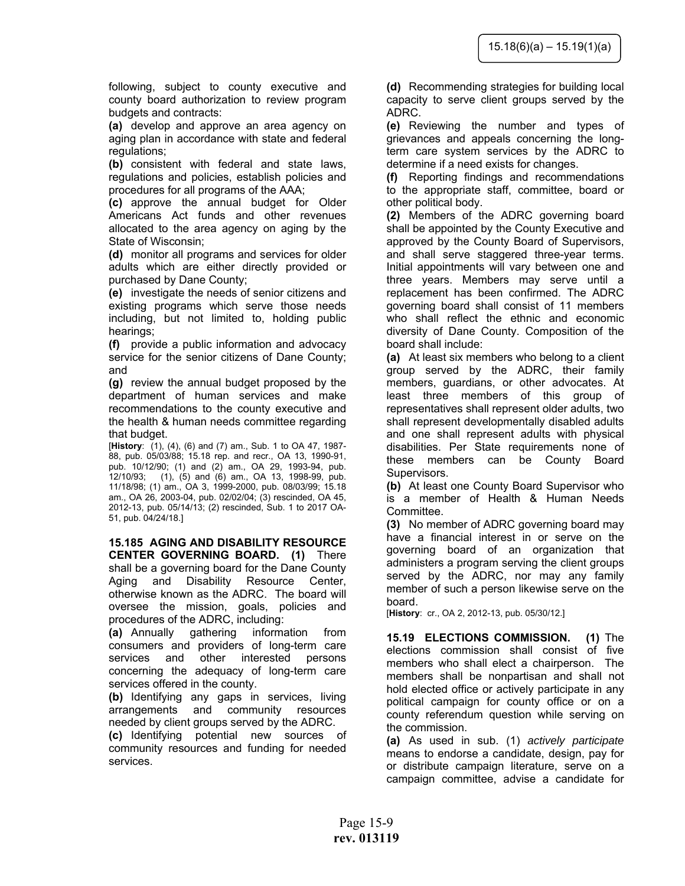following, subject to county executive and county board authorization to review program budgets and contracts:

**(a)** develop and approve an area agency on aging plan in accordance with state and federal regulations;

**(b)** consistent with federal and state laws, regulations and policies, establish policies and procedures for all programs of the AAA;

**(c)** approve the annual budget for Older Americans Act funds and other revenues allocated to the area agency on aging by the State of Wisconsin;

**(d)** monitor all programs and services for older adults which are either directly provided or purchased by Dane County;

**(e)** investigate the needs of senior citizens and existing programs which serve those needs including, but not limited to, holding public hearings;

**(f)** provide a public information and advocacy service for the senior citizens of Dane County; and

**(g)** review the annual budget proposed by the department of human services and make recommendations to the county executive and the health & human needs committee regarding that budget.

[**History**: (1), (4), (6) and (7) am., Sub. 1 to OA 47, 1987- 88, pub. 05/03/88; 15.18 rep. and recr., OA 13, 1990-91, pub. 10/12/90; (1) and (2) am., OA 29, 1993-94, pub.  $12/10/93$ ;  $(1)$ ,  $(5)$  and  $(6)$  am., OA 13, 1998-99, pub. 11/18/98; (1) am., OA 3, 1999-2000, pub. 08/03/99; 15.18 am., OA 26, 2003-04, pub. 02/02/04; (3) rescinded, OA 45, 2012-13, pub. 05/14/13; (2) rescinded, Sub. 1 to 2017 OA-51, pub. 04/24/18.]

**15.185 AGING AND DISABILITY RESOURCE CENTER GOVERNING BOARD. (1)** There shall be a governing board for the Dane County Aging and Disability Resource Center, otherwise known as the ADRC. The board will oversee the mission, goals, policies and procedures of the ADRC, including:

**(a)** Annually gathering information from consumers and providers of long-term care services and other interested persons concerning the adequacy of long-term care services offered in the county.

**(b)** Identifying any gaps in services, living arrangements and community resources needed by client groups served by the ADRC.

**(c)** Identifying potential new sources of community resources and funding for needed services.

**(d)** Recommending strategies for building local capacity to serve client groups served by the ADRC.

**(e)** Reviewing the number and types of grievances and appeals concerning the longterm care system services by the ADRC to determine if a need exists for changes.

**(f)** Reporting findings and recommendations to the appropriate staff, committee, board or other political body.

**(2)** Members of the ADRC governing board shall be appointed by the County Executive and approved by the County Board of Supervisors, and shall serve staggered three-year terms. Initial appointments will vary between one and three years. Members may serve until a replacement has been confirmed. The ADRC governing board shall consist of 11 members who shall reflect the ethnic and economic diversity of Dane County. Composition of the board shall include:

**(a)** At least six members who belong to a client group served by the ADRC, their family members, guardians, or other advocates. At least three members of this group of representatives shall represent older adults, two shall represent developmentally disabled adults and one shall represent adults with physical disabilities. Per State requirements none of these members can be County Board Supervisors.

**(b)** At least one County Board Supervisor who is a member of Health & Human Needs Committee.

**(3)** No member of ADRC governing board may have a financial interest in or serve on the governing board of an organization that administers a program serving the client groups served by the ADRC, nor may any family member of such a person likewise serve on the board.

[**History**: cr., OA 2, 2012-13, pub. 05/30/12.]

**15.19 ELECTIONS COMMISSION. (1)** The elections commission shall consist of five members who shall elect a chairperson. The members shall be nonpartisan and shall not hold elected office or actively participate in any political campaign for county office or on a county referendum question while serving on the commission.

**(a)** As used in sub. (1) *actively participate* means to endorse a candidate, design, pay for or distribute campaign literature, serve on a campaign committee, advise a candidate for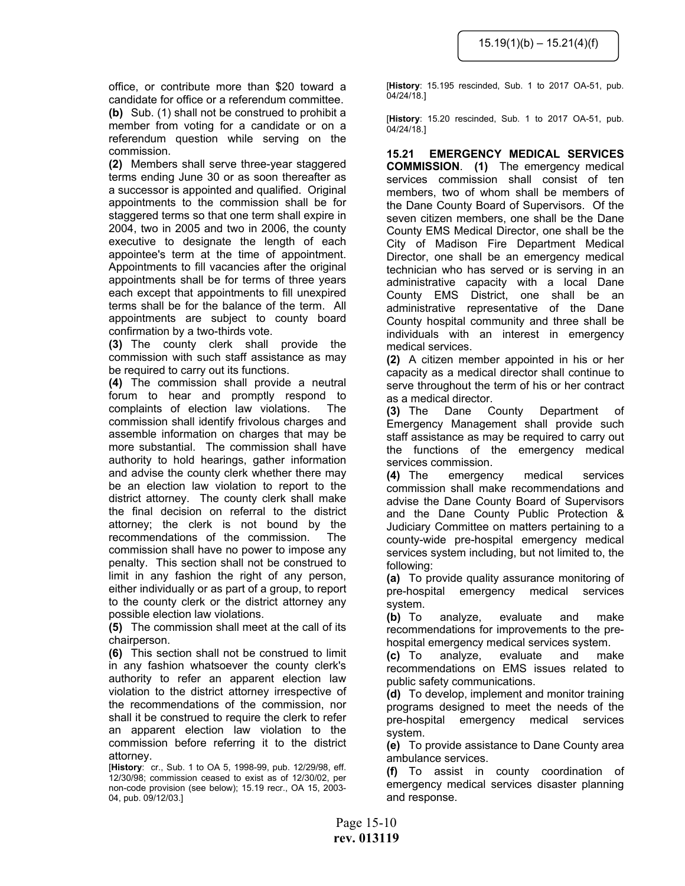office, or contribute more than \$20 toward a candidate for office or a referendum committee. **(b)** Sub. (1) shall not be construed to prohibit a member from voting for a candidate or on a referendum question while serving on the commission.

**(2)** Members shall serve three-year staggered terms ending June 30 or as soon thereafter as a successor is appointed and qualified. Original appointments to the commission shall be for staggered terms so that one term shall expire in 2004, two in 2005 and two in 2006, the county executive to designate the length of each appointee's term at the time of appointment. Appointments to fill vacancies after the original appointments shall be for terms of three years each except that appointments to fill unexpired terms shall be for the balance of the term. All appointments are subject to county board confirmation by a two-thirds vote.

**(3)** The county clerk shall provide the commission with such staff assistance as may be required to carry out its functions.

**(4)** The commission shall provide a neutral forum to hear and promptly respond to complaints of election law violations. The commission shall identify frivolous charges and assemble information on charges that may be more substantial. The commission shall have authority to hold hearings, gather information and advise the county clerk whether there may be an election law violation to report to the district attorney. The county clerk shall make the final decision on referral to the district attorney; the clerk is not bound by the recommendations of the commission. The commission shall have no power to impose any penalty. This section shall not be construed to limit in any fashion the right of any person, either individually or as part of a group, to report to the county clerk or the district attorney any possible election law violations.

**(5)** The commission shall meet at the call of its chairperson.

**(6)** This section shall not be construed to limit in any fashion whatsoever the county clerk's authority to refer an apparent election law violation to the district attorney irrespective of the recommendations of the commission, nor shall it be construed to require the clerk to refer an apparent election law violation to the commission before referring it to the district attorney.

[**History**: cr., Sub. 1 to OA 5, 1998-99, pub. 12/29/98, eff. 12/30/98; commission ceased to exist as of 12/30/02, per non-code provision (see below); 15.19 recr., OA 15, 2003- 04, pub. 09/12/03.]

[**History**: 15.195 rescinded, Sub. 1 to 2017 OA-51, pub. 04/24/18.]

[**History**: 15.20 rescinded, Sub. 1 to 2017 OA-51, pub. 04/24/18.]

**15.21 EMERGENCY MEDICAL SERVICES COMMISSION**. **(1)** The emergency medical services commission shall consist of ten members, two of whom shall be members of the Dane County Board of Supervisors. Of the seven citizen members, one shall be the Dane County EMS Medical Director, one shall be the City of Madison Fire Department Medical Director, one shall be an emergency medical technician who has served or is serving in an administrative capacity with a local Dane County EMS District, one shall be an administrative representative of the Dane County hospital community and three shall be individuals with an interest in emergency medical services.

**(2)** A citizen member appointed in his or her capacity as a medical director shall continue to serve throughout the term of his or her contract as a medical director.

**(3)** The Dane County Department of Emergency Management shall provide such staff assistance as may be required to carry out the functions of the emergency medical services commission.

**(4)** The emergency medical services commission shall make recommendations and advise the Dane County Board of Supervisors and the Dane County Public Protection & Judiciary Committee on matters pertaining to a county-wide pre-hospital emergency medical services system including, but not limited to, the following:

**(a)** To provide quality assurance monitoring of pre-hospital emergency medical services system.

**(b)** To analyze, evaluate and make recommendations for improvements to the prehospital emergency medical services system.

**(c)** To analyze, evaluate and make recommendations on EMS issues related to public safety communications.

**(d)** To develop, implement and monitor training programs designed to meet the needs of the pre-hospital emergency medical services system.

**(e)** To provide assistance to Dane County area ambulance services.

**(f)** To assist in county coordination of emergency medical services disaster planning and response.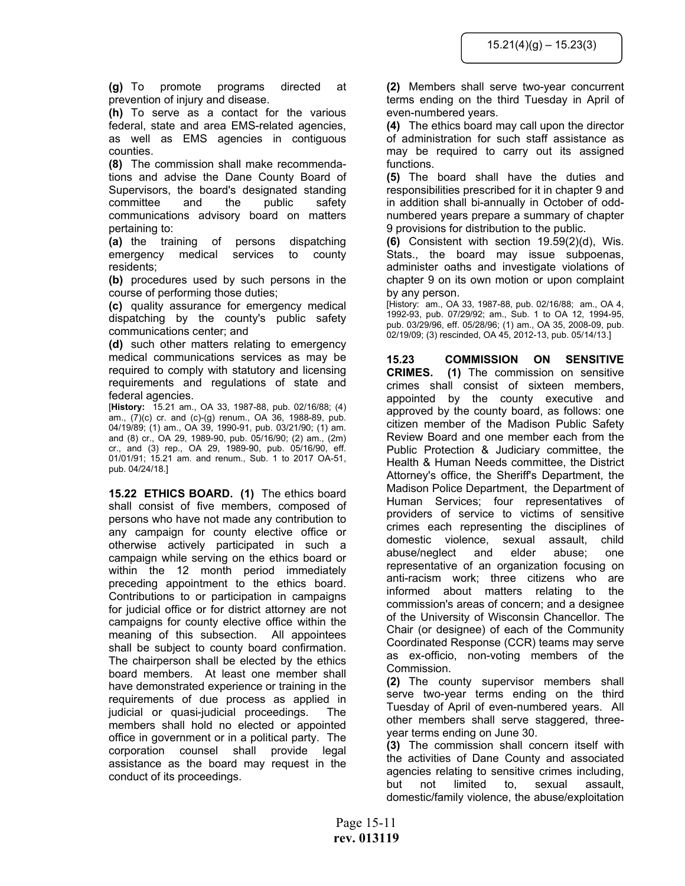**(g)** To promote programs directed at prevention of injury and disease.

**(h)** To serve as a contact for the various federal, state and area EMS-related agencies, as well as EMS agencies in contiguous counties.

**(8)** The commission shall make recommendations and advise the Dane County Board of Supervisors, the board's designated standing committee and the public safety communications advisory board on matters pertaining to:

**(a)** the training of persons dispatching emergency medical services to county residents;

**(b)** procedures used by such persons in the course of performing those duties;

**(c)** quality assurance for emergency medical dispatching by the county's public safety communications center; and

**(d)** such other matters relating to emergency medical communications services as may be required to comply with statutory and licensing requirements and regulations of state and federal agencies.

[**History:** 15.21 am., OA 33, 1987-88, pub. 02/16/88; (4) am., (7)(c) cr. and (c)-(g) renum., OA 36, 1988-89, pub. 04/19/89; (1) am., OA 39, 1990-91, pub. 03/21/90; (1) am. and (8) cr., OA 29, 1989-90, pub. 05/16/90; (2) am., (2m) cr., and (3) rep., OA 29, 1989-90, pub. 05/16/90, eff. 01/01/91; 15.21 am. and renum., Sub. 1 to 2017 OA-51, pub. 04/24/18.]

**15.22 ETHICS BOARD. (1)** The ethics board shall consist of five members, composed of persons who have not made any contribution to any campaign for county elective office or otherwise actively participated in such a campaign while serving on the ethics board or within the 12 month period immediately preceding appointment to the ethics board. Contributions to or participation in campaigns for judicial office or for district attorney are not campaigns for county elective office within the meaning of this subsection. All appointees shall be subject to county board confirmation. The chairperson shall be elected by the ethics board members. At least one member shall have demonstrated experience or training in the requirements of due process as applied in judicial or quasi-judicial proceedings. The members shall hold no elected or appointed office in government or in a political party. The corporation counsel shall provide legal assistance as the board may request in the conduct of its proceedings.

**(2)** Members shall serve two-year concurrent terms ending on the third Tuesday in April of even-numbered years.

**(4)** The ethics board may call upon the director of administration for such staff assistance as may be required to carry out its assigned functions.

**(5)** The board shall have the duties and responsibilities prescribed for it in chapter 9 and in addition shall bi-annually in October of oddnumbered years prepare a summary of chapter 9 provisions for distribution to the public.

**(6)** Consistent with section 19.59(2)(d), Wis. Stats., the board may issue subpoenas, administer oaths and investigate violations of chapter 9 on its own motion or upon complaint by any person.

[History: am., OA 33, 1987-88, pub. 02/16/88; am., OA 4, 1992-93, pub. 07/29/92; am., Sub. 1 to OA 12, 1994-95, pub. 03/29/96, eff. 05/28/96; (1) am., OA 35, 2008-09, pub. 02/19/09; (3) rescinded, OA 45, 2012-13, pub. 05/14/13.]

**15.23 COMMISSION ON SENSITIVE CRIMES. (1)** The commission on sensitive crimes shall consist of sixteen members, appointed by the county executive and approved by the county board, as follows: one citizen member of the Madison Public Safety Review Board and one member each from the Public Protection & Judiciary committee, the Health & Human Needs committee, the District Attorney's office, the Sheriff's Department, the Madison Police Department, the Department of Human Services; four representatives of providers of service to victims of sensitive crimes each representing the disciplines of domestic violence, sexual assault, child abuse/neglect and elder abuse; one representative of an organization focusing on anti-racism work; three citizens who are informed about matters relating to the commission's areas of concern; and a designee of the University of Wisconsin Chancellor. The Chair (or designee) of each of the Community Coordinated Response (CCR) teams may serve as ex-officio, non-voting members of the Commission.

**(2)** The county supervisor members shall serve two-year terms ending on the third Tuesday of April of even-numbered years. All other members shall serve staggered, threeyear terms ending on June 30.

**(3)** The commission shall concern itself with the activities of Dane County and associated agencies relating to sensitive crimes including, but not limited to, sexual assault, domestic/family violence, the abuse/exploitation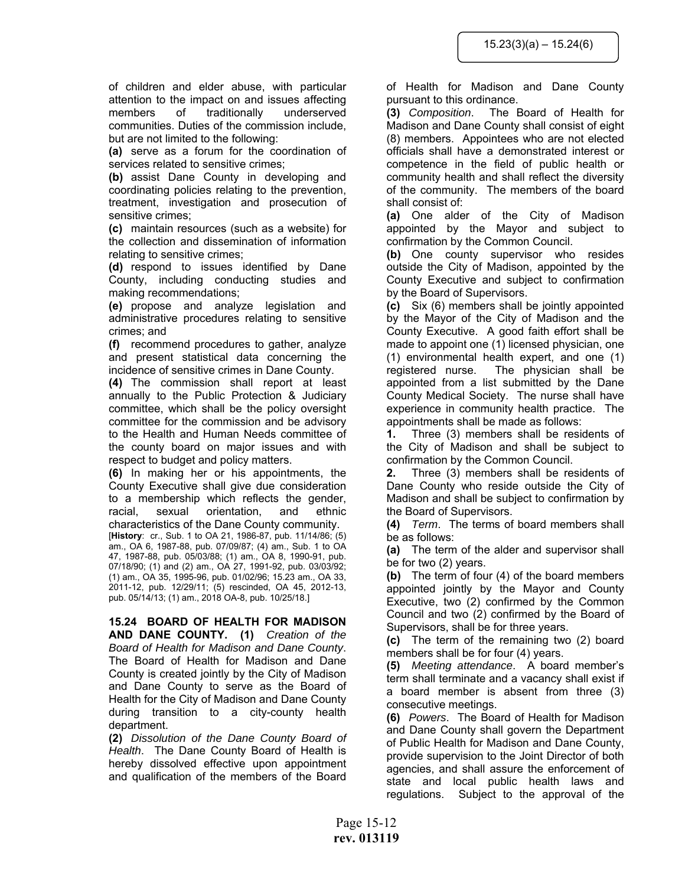of children and elder abuse, with particular attention to the impact on and issues affecting members of traditionally underserved communities. Duties of the commission include, but are not limited to the following:

**(a)** serve as a forum for the coordination of services related to sensitive crimes;

**(b)** assist Dane County in developing and coordinating policies relating to the prevention, treatment, investigation and prosecution of sensitive crimes;

**(c)** maintain resources (such as a website) for the collection and dissemination of information relating to sensitive crimes;

**(d)** respond to issues identified by Dane County, including conducting studies and making recommendations;

**(e)** propose and analyze legislation and administrative procedures relating to sensitive crimes; and

**(f)** recommend procedures to gather, analyze and present statistical data concerning the incidence of sensitive crimes in Dane County.

**(4)** The commission shall report at least annually to the Public Protection & Judiciary committee, which shall be the policy oversight committee for the commission and be advisory to the Health and Human Needs committee of the county board on major issues and with respect to budget and policy matters.

**(6)** In making her or his appointments, the County Executive shall give due consideration to a membership which reflects the gender, racial, sexual orientation, and ethnic characteristics of the Dane County community. [**History**: cr., Sub. 1 to OA 21, 1986-87, pub. 11/14/86; (5) am., OA 6, 1987-88, pub. 07/09/87; (4) am., Sub. 1 to OA 47, 1987-88, pub. 05/03/88; (1) am., OA 8, 1990-91, pub. 07/18/90; (1) and (2) am., OA 27, 1991-92, pub. 03/03/92; (1) am., OA 35, 1995-96, pub. 01/02/96; 15.23 am., OA 33, 2011-12, pub. 12/29/11; (5) rescinded, OA 45, 2012-13, pub. 05/14/13; (1) am., 2018 OA-8, pub. 10/25/18.]

# **15.24 BOARD OF HEALTH FOR MADISON**

**AND DANE COUNTY. (1)** *Creation of the Board of Health for Madison and Dane County*. The Board of Health for Madison and Dane County is created jointly by the City of Madison and Dane County to serve as the Board of Health for the City of Madison and Dane County during transition to a city-county health department.

**(2)** *Dissolution of the Dane County Board of Health*. The Dane County Board of Health is hereby dissolved effective upon appointment and qualification of the members of the Board

of Health for Madison and Dane County pursuant to this ordinance.

**(3)** *Composition*. The Board of Health for Madison and Dane County shall consist of eight (8) members. Appointees who are not elected officials shall have a demonstrated interest or competence in the field of public health or community health and shall reflect the diversity of the community. The members of the board shall consist of:

**(a)** One alder of the City of Madison appointed by the Mayor and subject to confirmation by the Common Council.

**(b)** One county supervisor who resides outside the City of Madison, appointed by the County Executive and subject to confirmation by the Board of Supervisors.

**(c)** Six (6) members shall be jointly appointed by the Mayor of the City of Madison and the County Executive. A good faith effort shall be made to appoint one (1) licensed physician, one (1) environmental health expert, and one (1) registered nurse. The physician shall be appointed from a list submitted by the Dane County Medical Society. The nurse shall have experience in community health practice. The appointments shall be made as follows:

**1.** Three (3) members shall be residents of the City of Madison and shall be subject to confirmation by the Common Council.

**2.** Three (3) members shall be residents of Dane County who reside outside the City of Madison and shall be subject to confirmation by the Board of Supervisors.

**(4)** *Term*. The terms of board members shall be as follows:

**(a)** The term of the alder and supervisor shall be for two (2) years.

**(b)** The term of four (4) of the board members appointed jointly by the Mayor and County Executive, two (2) confirmed by the Common Council and two (2) confirmed by the Board of Supervisors, shall be for three years.

**(c)** The term of the remaining two (2) board members shall be for four (4) years.

**(5)** *Meeting attendance*. A board member's term shall terminate and a vacancy shall exist if a board member is absent from three (3) consecutive meetings.

**(6)** *Powers*. The Board of Health for Madison and Dane County shall govern the Department of Public Health for Madison and Dane County, provide supervision to the Joint Director of both agencies, and shall assure the enforcement of state and local public health laws and regulations. Subject to the approval of the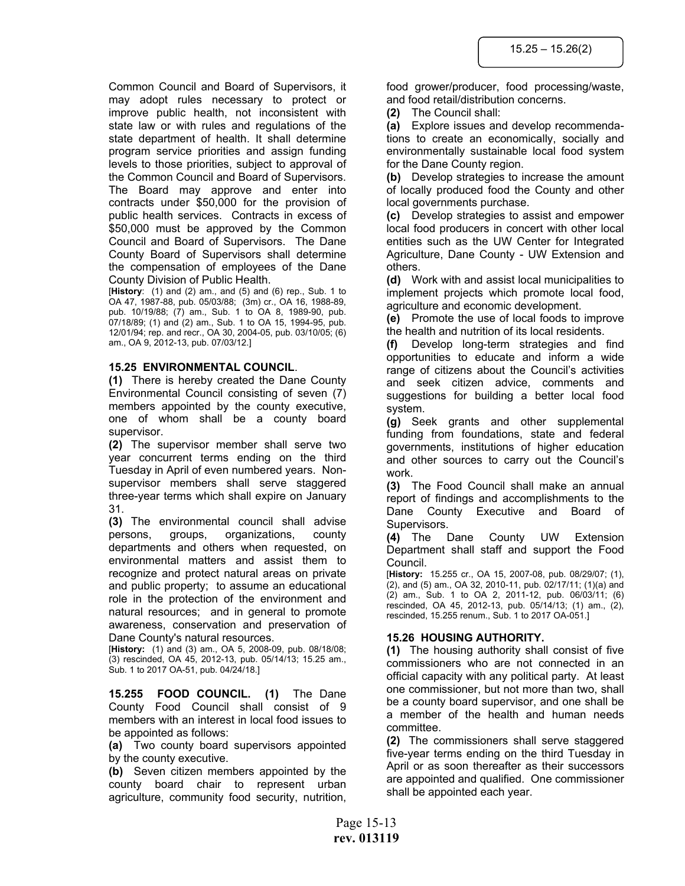Common Council and Board of Supervisors, it may adopt rules necessary to protect or improve public health, not inconsistent with state law or with rules and regulations of the state department of health. It shall determine program service priorities and assign funding levels to those priorities, subject to approval of the Common Council and Board of Supervisors. The Board may approve and enter into contracts under \$50,000 for the provision of public health services. Contracts in excess of \$50,000 must be approved by the Common Council and Board of Supervisors. The Dane County Board of Supervisors shall determine the compensation of employees of the Dane County Division of Public Health.

[**History**: (1) and (2) am., and (5) and (6) rep., Sub. 1 to OA 47, 1987-88, pub. 05/03/88; (3m) cr., OA 16, 1988-89, pub. 10/19/88; (7) am., Sub. 1 to OA 8, 1989-90, pub. 07/18/89; (1) and (2) am., Sub. 1 to OA 15, 1994-95, pub. 12/01/94; rep. and recr., OA 30, 2004-05, pub. 03/10/05; (6) am., OA 9, 2012-13, pub. 07/03/12.]

#### **15.25 ENVIRONMENTAL COUNCIL**.

**(1)** There is hereby created the Dane County Environmental Council consisting of seven (7) members appointed by the county executive, one of whom shall be a county board supervisor.

**(2)** The supervisor member shall serve two year concurrent terms ending on the third Tuesday in April of even numbered years. Nonsupervisor members shall serve staggered three-year terms which shall expire on January 31.

**(3)** The environmental council shall advise persons, groups, organizations, county departments and others when requested, on environmental matters and assist them to recognize and protect natural areas on private and public property; to assume an educational role in the protection of the environment and natural resources; and in general to promote awareness, conservation and preservation of Dane County's natural resources.

[**History:** (1) and (3) am., OA 5, 2008-09, pub. 08/18/08; (3) rescinded, OA 45, 2012-13, pub. 05/14/13; 15.25 am., Sub. 1 to 2017 OA-51, pub. 04/24/18.]

**15.255 FOOD COUNCIL. (1)** The Dane County Food Council shall consist of 9 members with an interest in local food issues to be appointed as follows:

**(a)** Two county board supervisors appointed by the county executive.

**(b)** Seven citizen members appointed by the county board chair to represent urban agriculture, community food security, nutrition,

food grower/producer, food processing/waste, and food retail/distribution concerns.

**(2)** The Council shall:

**(a)** Explore issues and develop recommendations to create an economically, socially and environmentally sustainable local food system for the Dane County region.

**(b)** Develop strategies to increase the amount of locally produced food the County and other local governments purchase.

**(c)** Develop strategies to assist and empower local food producers in concert with other local entities such as the UW Center for Integrated Agriculture, Dane County - UW Extension and others.

**(d)** Work with and assist local municipalities to implement projects which promote local food, agriculture and economic development.

**(e)** Promote the use of local foods to improve the health and nutrition of its local residents.

**(f)** Develop long-term strategies and find opportunities to educate and inform a wide range of citizens about the Council's activities and seek citizen advice, comments and suggestions for building a better local food system.

**(g)** Seek grants and other supplemental funding from foundations, state and federal governments, institutions of higher education and other sources to carry out the Council's work.

**(3)** The Food Council shall make an annual report of findings and accomplishments to the Dane County Executive and Board of Supervisors.

**(4)** The Dane County UW Extension Department shall staff and support the Food Council.

[**History:** 15.255 cr., OA 15, 2007-08, pub. 08/29/07; (1), (2), and (5) am., OA 32, 2010-11, pub. 02/17/11; (1)(a) and (2) am., Sub. 1 to OA 2, 2011-12, pub. 06/03/11; (6) rescinded, OA 45, 2012-13, pub. 05/14/13; (1) am., (2), rescinded, 15.255 renum., Sub. 1 to 2017 OA-051.]

#### **15.26 HOUSING AUTHORITY.**

**(1)** The housing authority shall consist of five commissioners who are not connected in an official capacity with any political party. At least one commissioner, but not more than two, shall be a county board supervisor, and one shall be a member of the health and human needs committee.

**(2)** The commissioners shall serve staggered five-year terms ending on the third Tuesday in April or as soon thereafter as their successors are appointed and qualified. One commissioner shall be appointed each year.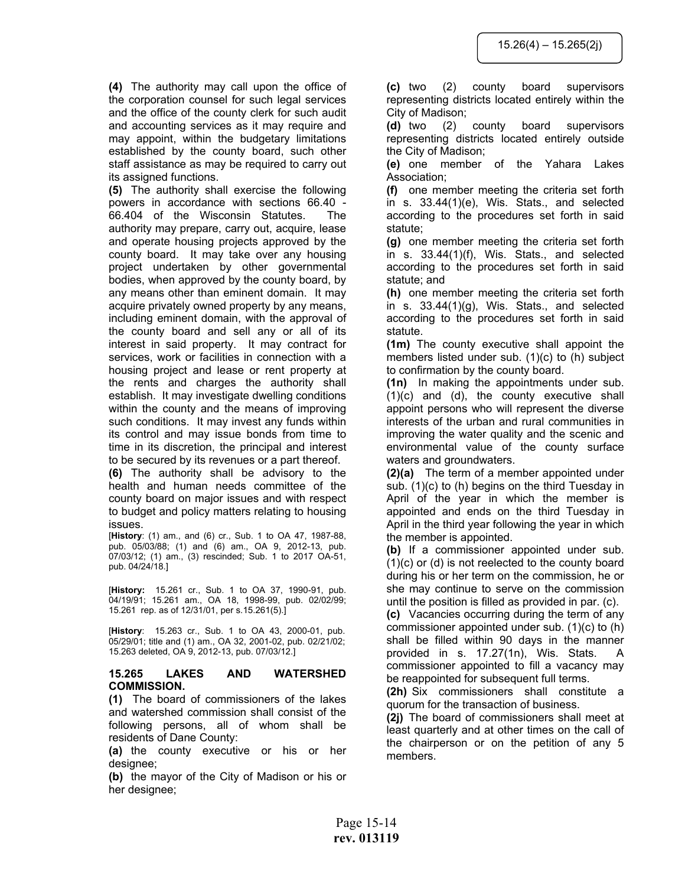**(4)** The authority may call upon the office of the corporation counsel for such legal services and the office of the county clerk for such audit and accounting services as it may require and may appoint, within the budgetary limitations established by the county board, such other staff assistance as may be required to carry out its assigned functions.

**(5)** The authority shall exercise the following powers in accordance with sections 66.40 - 66.404 of the Wisconsin Statutes. The authority may prepare, carry out, acquire, lease and operate housing projects approved by the county board. It may take over any housing project undertaken by other governmental bodies, when approved by the county board, by any means other than eminent domain. It may acquire privately owned property by any means, including eminent domain, with the approval of the county board and sell any or all of its interest in said property. It may contract for services, work or facilities in connection with a housing project and lease or rent property at the rents and charges the authority shall establish. It may investigate dwelling conditions within the county and the means of improving such conditions. It may invest any funds within its control and may issue bonds from time to time in its discretion, the principal and interest to be secured by its revenues or a part thereof.

**(6)** The authority shall be advisory to the health and human needs committee of the county board on major issues and with respect to budget and policy matters relating to housing issues.

[**History**: (1) am., and (6) cr., Sub. 1 to OA 47, 1987-88, pub. 05/03/88; (1) and (6) am., OA 9, 2012-13, pub. 07/03/12; (1) am., (3) rescinded; Sub. 1 to 2017 OA-51, pub. 04/24/18.]

[**History:** 15.261 cr., Sub. 1 to OA 37, 1990-91, pub. 04/19/91; 15.261 am., OA 18, 1998-99, pub. 02/02/99; 15.261 rep. as of 12/31/01, per s.15.261(5).]

[**History**: 15.263 cr., Sub. 1 to OA 43, 2000-01, pub. 05/29/01; title and (1) am., OA 32, 2001-02, pub. 02/21/02; 15.263 deleted, OA 9, 2012-13, pub. 07/03/12.]

#### **15.265 LAKES AND WATERSHED COMMISSION.**

**(1)** The board of commissioners of the lakes and watershed commission shall consist of the following persons, all of whom shall be residents of Dane County:

**(a)** the county executive or his or her designee;

**(b)** the mayor of the City of Madison or his or her designee;

**(c)** two (2) county board supervisors representing districts located entirely within the City of Madison;

**(d)** two (2) county board supervisors representing districts located entirely outside the City of Madison;

**(e)** one member of the Yahara Lakes Association;

**(f)** one member meeting the criteria set forth in s. 33.44(1)(e), Wis. Stats., and selected according to the procedures set forth in said statute;

**(g)** one member meeting the criteria set forth in s. 33.44(1)(f), Wis. Stats., and selected according to the procedures set forth in said statute; and

**(h)** one member meeting the criteria set forth in s. 33.44(1)(g), Wis. Stats., and selected according to the procedures set forth in said statute.

**(1m)** The county executive shall appoint the members listed under sub. (1)(c) to (h) subject to confirmation by the county board.

**(1n)** In making the appointments under sub. (1)(c) and (d), the county executive shall appoint persons who will represent the diverse interests of the urban and rural communities in improving the water quality and the scenic and environmental value of the county surface waters and groundwaters.

**(2)(a)** The term of a member appointed under sub. (1)(c) to (h) begins on the third Tuesday in April of the year in which the member is appointed and ends on the third Tuesday in April in the third year following the year in which the member is appointed.

**(b)** If a commissioner appointed under sub. (1)(c) or (d) is not reelected to the county board during his or her term on the commission, he or she may continue to serve on the commission until the position is filled as provided in par. (c).

**(c)** Vacancies occurring during the term of any commissioner appointed under sub. (1)(c) to (h) shall be filled within 90 days in the manner provided in s. 17.27(1n), Wis. Stats. A commissioner appointed to fill a vacancy may be reappointed for subsequent full terms.

**(2h)** Six commissioners shall constitute a quorum for the transaction of business.

**(2j)** The board of commissioners shall meet at least quarterly and at other times on the call of the chairperson or on the petition of any 5 members.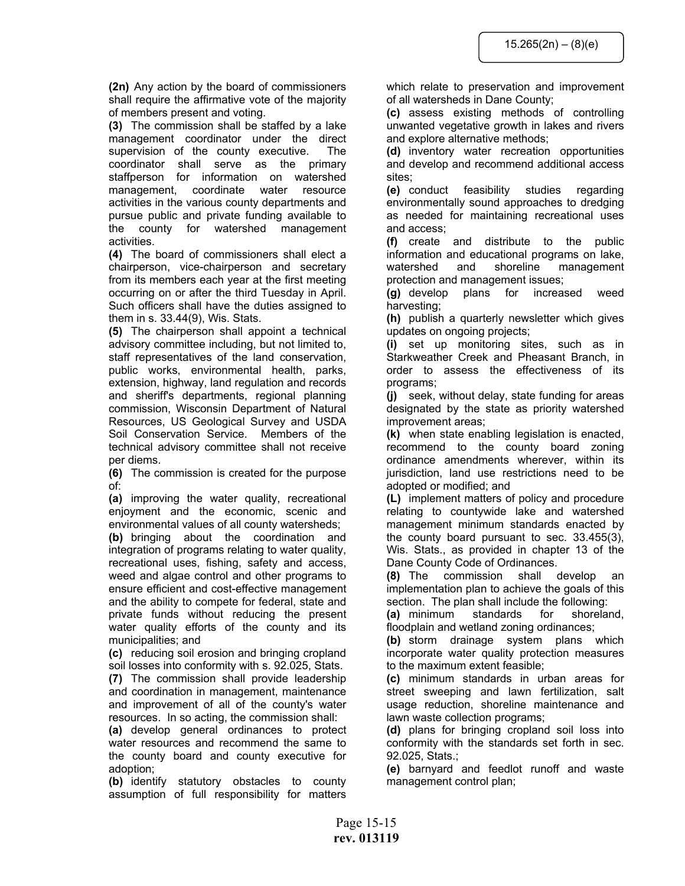**(2n)** Any action by the board of commissioners shall require the affirmative vote of the majority of members present and voting.

**(3)** The commission shall be staffed by a lake management coordinator under the direct supervision of the county executive. The coordinator shall serve as the primary staffperson for information on watershed management, coordinate water resource activities in the various county departments and pursue public and private funding available to the county for watershed management activities.

**(4)** The board of commissioners shall elect a chairperson, vice-chairperson and secretary from its members each year at the first meeting occurring on or after the third Tuesday in April. Such officers shall have the duties assigned to them in s. 33.44(9), Wis. Stats.

**(5)** The chairperson shall appoint a technical advisory committee including, but not limited to, staff representatives of the land conservation, public works, environmental health, parks, extension, highway, land regulation and records and sheriff's departments, regional planning commission, Wisconsin Department of Natural Resources, US Geological Survey and USDA Soil Conservation Service. Members of the technical advisory committee shall not receive per diems.

**(6)** The commission is created for the purpose of:

**(a)** improving the water quality, recreational enjoyment and the economic, scenic and environmental values of all county watersheds;

**(b)** bringing about the coordination and integration of programs relating to water quality, recreational uses, fishing, safety and access, weed and algae control and other programs to ensure efficient and cost-effective management and the ability to compete for federal, state and private funds without reducing the present water quality efforts of the county and its municipalities; and

**(c)** reducing soil erosion and bringing cropland soil losses into conformity with s. 92.025, Stats.

**(7)** The commission shall provide leadership and coordination in management, maintenance and improvement of all of the county's water resources. In so acting, the commission shall:

**(a)** develop general ordinances to protect water resources and recommend the same to the county board and county executive for adoption;

**(b)** identify statutory obstacles to county assumption of full responsibility for matters which relate to preservation and improvement of all watersheds in Dane County;

**(c)** assess existing methods of controlling unwanted vegetative growth in lakes and rivers and explore alternative methods;

**(d)** inventory water recreation opportunities and develop and recommend additional access sites;

**(e)** conduct feasibility studies regarding environmentally sound approaches to dredging as needed for maintaining recreational uses and access;

**(f)** create and distribute to the public information and educational programs on lake, watershed and shoreline management protection and management issues;

**(g)** develop plans for increased weed harvesting;

**(h)** publish a quarterly newsletter which gives updates on ongoing projects;

**(i)** set up monitoring sites, such as in Starkweather Creek and Pheasant Branch, in order to assess the effectiveness of its programs;

**(j)** seek, without delay, state funding for areas designated by the state as priority watershed improvement areas;

**(k)** when state enabling legislation is enacted, recommend to the county board zoning ordinance amendments wherever, within its jurisdiction, land use restrictions need to be adopted or modified; and

**(L)** implement matters of policy and procedure relating to countywide lake and watershed management minimum standards enacted by the county board pursuant to sec. 33.455(3), Wis. Stats., as provided in chapter 13 of the Dane County Code of Ordinances.

**(8)** The commission shall develop an implementation plan to achieve the goals of this section. The plan shall include the following:

**(a)** minimum standards for shoreland, floodplain and wetland zoning ordinances;

**(b)** storm drainage system plans which incorporate water quality protection measures to the maximum extent feasible;

**(c)** minimum standards in urban areas for street sweeping and lawn fertilization, salt usage reduction, shoreline maintenance and lawn waste collection programs;

**(d)** plans for bringing cropland soil loss into conformity with the standards set forth in sec. 92.025, Stats.;

**(e)** barnyard and feedlot runoff and waste management control plan;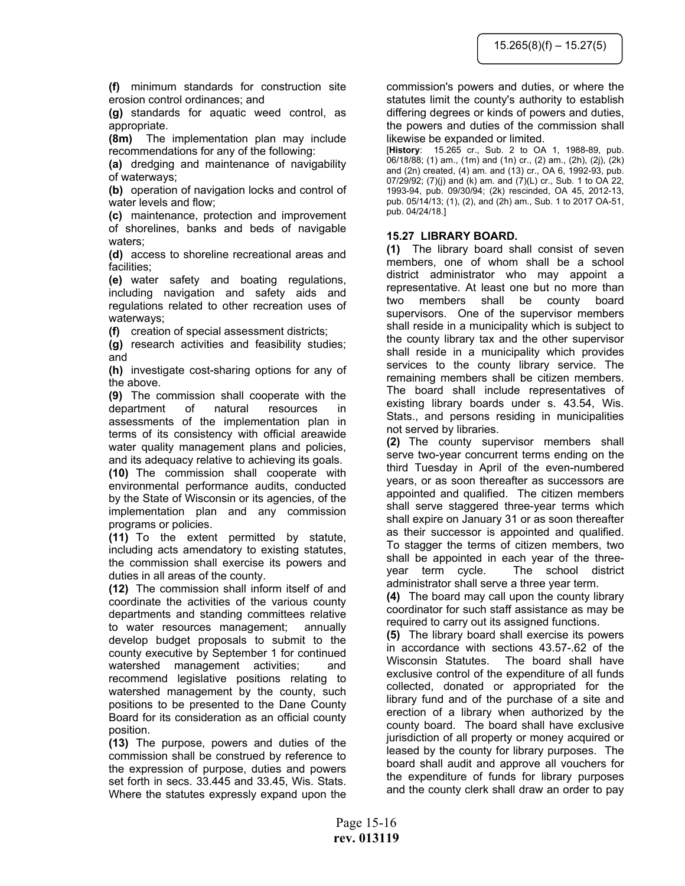**(f)** minimum standards for construction site erosion control ordinances; and

**(g)** standards for aquatic weed control, as appropriate.

**(8m)** The implementation plan may include recommendations for any of the following:

**(a)** dredging and maintenance of navigability of waterways;

**(b)** operation of navigation locks and control of water levels and flow;

**(c)** maintenance, protection and improvement of shorelines, banks and beds of navigable waters;

**(d)** access to shoreline recreational areas and facilities;

**(e)** water safety and boating regulations, including navigation and safety aids and regulations related to other recreation uses of waterways;

**(f)** creation of special assessment districts;

**(g)** research activities and feasibility studies; and

**(h)** investigate cost-sharing options for any of the above.

**(9)** The commission shall cooperate with the department of natural resources in assessments of the implementation plan in terms of its consistency with official areawide water quality management plans and policies, and its adequacy relative to achieving its goals.

**(10)** The commission shall cooperate with environmental performance audits, conducted by the State of Wisconsin or its agencies, of the implementation plan and any commission programs or policies.

**(11)** To the extent permitted by statute, including acts amendatory to existing statutes, the commission shall exercise its powers and duties in all areas of the county.

**(12)** The commission shall inform itself of and coordinate the activities of the various county departments and standing committees relative to water resources management; annually develop budget proposals to submit to the county executive by September 1 for continued watershed management activities; and recommend legislative positions relating to watershed management by the county, such positions to be presented to the Dane County Board for its consideration as an official county position.

**(13)** The purpose, powers and duties of the commission shall be construed by reference to the expression of purpose, duties and powers set forth in secs. 33.445 and 33.45, Wis. Stats. Where the statutes expressly expand upon the

commission's powers and duties, or where the statutes limit the county's authority to establish differing degrees or kinds of powers and duties, the powers and duties of the commission shall likewise be expanded or limited.

[**History**: 15.265 cr., Sub. 2 to OA 1, 1988-89, pub. 06/18/88; (1) am., (1m) and (1n) cr., (2) am., (2h), (2j), (2k) and (2n) created, (4) am. and (13) cr., OA 6, 1992-93, pub. 07/29/92; (7)(j) and (k) am. and (7)(L) cr., Sub. 1 to OA 22, 1993-94, pub. 09/30/94; (2k) rescinded, OA 45, 2012-13, pub. 05/14/13; (1), (2), and (2h) am., Sub. 1 to 2017 OA-51, pub. 04/24/18.]

# **15.27 LIBRARY BOARD.**

**(1)** The library board shall consist of seven members, one of whom shall be a school district administrator who may appoint a representative. At least one but no more than two members shall be county board supervisors. One of the supervisor members shall reside in a municipality which is subject to the county library tax and the other supervisor shall reside in a municipality which provides services to the county library service. The remaining members shall be citizen members. The board shall include representatives of existing library boards under s. 43.54, Wis. Stats., and persons residing in municipalities not served by libraries.

**(2)** The county supervisor members shall serve two-year concurrent terms ending on the third Tuesday in April of the even-numbered years, or as soon thereafter as successors are appointed and qualified. The citizen members shall serve staggered three-year terms which shall expire on January 31 or as soon thereafter as their successor is appointed and qualified. To stagger the terms of citizen members, two shall be appointed in each year of the threeyear term cycle. The school district administrator shall serve a three year term.

**(4)** The board may call upon the county library coordinator for such staff assistance as may be required to carry out its assigned functions.

**(5)** The library board shall exercise its powers in accordance with sections 43.57-.62 of the Wisconsin Statutes. The board shall have exclusive control of the expenditure of all funds collected, donated or appropriated for the library fund and of the purchase of a site and erection of a library when authorized by the county board. The board shall have exclusive jurisdiction of all property or money acquired or leased by the county for library purposes. The board shall audit and approve all vouchers for the expenditure of funds for library purposes and the county clerk shall draw an order to pay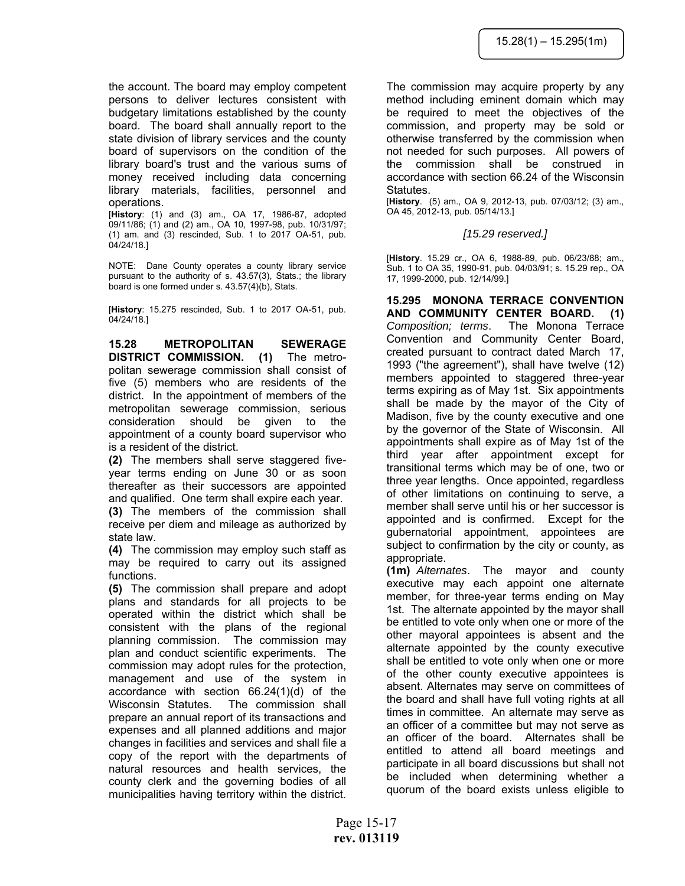the account. The board may employ competent persons to deliver lectures consistent with budgetary limitations established by the county board. The board shall annually report to the state division of library services and the county board of supervisors on the condition of the library board's trust and the various sums of money received including data concerning library materials, facilities, personnel and operations.

[**History**: (1) and (3) am., OA 17, 1986-87, adopted 09/11/86; (1) and (2) am., OA 10, 1997-98, pub. 10/31/97; (1) am. and (3) rescinded, Sub. 1 to 2017 OA-51, pub. 04/24/18.]

NOTE: Dane County operates a county library service pursuant to the authority of s. 43.57(3), Stats.; the library board is one formed under s. 43.57(4)(b), Stats.

[**History**: 15.275 rescinded, Sub. 1 to 2017 OA-51, pub. 04/24/18.]

**15.28 METROPOLITAN SEWERAGE DISTRICT COMMISSION. (1)** The metropolitan sewerage commission shall consist of five (5) members who are residents of the district. In the appointment of members of the metropolitan sewerage commission, serious consideration should be given to the appointment of a county board supervisor who is a resident of the district.

**(2)** The members shall serve staggered fiveyear terms ending on June 30 or as soon thereafter as their successors are appointed and qualified. One term shall expire each year.

**(3)** The members of the commission shall receive per diem and mileage as authorized by state law.

**(4)** The commission may employ such staff as may be required to carry out its assigned functions.

**(5)** The commission shall prepare and adopt plans and standards for all projects to be operated within the district which shall be consistent with the plans of the regional planning commission. The commission may plan and conduct scientific experiments. The commission may adopt rules for the protection, management and use of the system in accordance with section 66.24(1)(d) of the Wisconsin Statutes. The commission shall prepare an annual report of its transactions and expenses and all planned additions and major changes in facilities and services and shall file a copy of the report with the departments of natural resources and health services, the county clerk and the governing bodies of all municipalities having territory within the district.

The commission may acquire property by any method including eminent domain which may be required to meet the objectives of the commission, and property may be sold or otherwise transferred by the commission when not needed for such purposes. All powers of the commission shall be construed in accordance with section 66.24 of the Wisconsin Statutes.

[**History**. (5) am., OA 9, 2012-13, pub. 07/03/12; (3) am., OA 45, 2012-13, pub. 05/14/13.]

# *[15.29 reserved.]*

[**History**. 15.29 cr., OA 6, 1988-89, pub. 06/23/88; am., Sub. 1 to OA 35, 1990-91, pub. 04/03/91; s. 15.29 rep., OA 17, 1999-2000, pub. 12/14/99.]

**15.295 MONONA TERRACE CONVENTION AND COMMUNITY CENTER BOARD. (1)** *Composition; terms*. The Monona Terrace Convention and Community Center Board, created pursuant to contract dated March 17, 1993 ("the agreement"), shall have twelve (12) members appointed to staggered three-year terms expiring as of May 1st. Six appointments shall be made by the mayor of the City of Madison, five by the county executive and one by the governor of the State of Wisconsin. All appointments shall expire as of May 1st of the third year after appointment except for transitional terms which may be of one, two or three year lengths. Once appointed, regardless of other limitations on continuing to serve, a member shall serve until his or her successor is appointed and is confirmed. Except for the gubernatorial appointment, appointees are subject to confirmation by the city or county, as appropriate.

**(1m)** *Alternates*. The mayor and county executive may each appoint one alternate member, for three-year terms ending on May 1st. The alternate appointed by the mayor shall be entitled to vote only when one or more of the other mayoral appointees is absent and the alternate appointed by the county executive shall be entitled to vote only when one or more of the other county executive appointees is absent. Alternates may serve on committees of the board and shall have full voting rights at all times in committee. An alternate may serve as an officer of a committee but may not serve as an officer of the board. Alternates shall be entitled to attend all board meetings and participate in all board discussions but shall not be included when determining whether a quorum of the board exists unless eligible to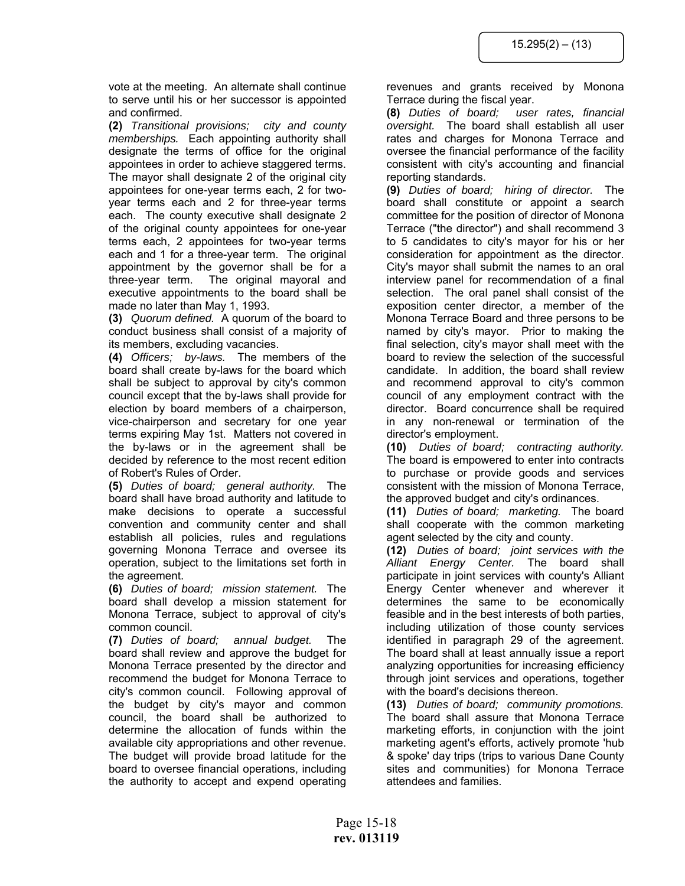vote at the meeting. An alternate shall continue to serve until his or her successor is appointed and confirmed.

**(2)** *Transitional provisions; city and county memberships.* Each appointing authority shall designate the terms of office for the original appointees in order to achieve staggered terms. The mayor shall designate 2 of the original city appointees for one-year terms each, 2 for twoyear terms each and 2 for three-year terms each. The county executive shall designate 2 of the original county appointees for one-year terms each, 2 appointees for two-year terms each and 1 for a three-year term. The original appointment by the governor shall be for a three-year term. The original mayoral and executive appointments to the board shall be made no later than May 1, 1993.

**(3)** *Quorum defined.* A quorum of the board to conduct business shall consist of a majority of its members, excluding vacancies.

**(4)** *Officers; by-laws.* The members of the board shall create by-laws for the board which shall be subject to approval by city's common council except that the by-laws shall provide for election by board members of a chairperson, vice-chairperson and secretary for one year terms expiring May 1st. Matters not covered in the by-laws or in the agreement shall be decided by reference to the most recent edition of Robert's Rules of Order.

**(5)** *Duties of board; general authority.* The board shall have broad authority and latitude to make decisions to operate a successful convention and community center and shall establish all policies, rules and regulations governing Monona Terrace and oversee its operation, subject to the limitations set forth in the agreement.

**(6)** *Duties of board; mission statement.* The board shall develop a mission statement for Monona Terrace, subject to approval of city's common council.

**(7)** *Duties of board; annual budget.* The board shall review and approve the budget for Monona Terrace presented by the director and recommend the budget for Monona Terrace to city's common council. Following approval of the budget by city's mayor and common council, the board shall be authorized to determine the allocation of funds within the available city appropriations and other revenue. The budget will provide broad latitude for the board to oversee financial operations, including the authority to accept and expend operating

revenues and grants received by Monona Terrace during the fiscal year.

**(8)** *Duties of board; user rates, financial oversight.* The board shall establish all user rates and charges for Monona Terrace and oversee the financial performance of the facility consistent with city's accounting and financial reporting standards.

**(9)** *Duties of board; hiring of director.* The board shall constitute or appoint a search committee for the position of director of Monona Terrace ("the director") and shall recommend 3 to 5 candidates to city's mayor for his or her consideration for appointment as the director. City's mayor shall submit the names to an oral interview panel for recommendation of a final selection. The oral panel shall consist of the exposition center director, a member of the Monona Terrace Board and three persons to be named by city's mayor. Prior to making the final selection, city's mayor shall meet with the board to review the selection of the successful candidate. In addition, the board shall review and recommend approval to city's common council of any employment contract with the director. Board concurrence shall be required in any non-renewal or termination of the director's employment.

**(10)** *Duties of board; contracting authority.* The board is empowered to enter into contracts to purchase or provide goods and services consistent with the mission of Monona Terrace, the approved budget and city's ordinances.

**(11)** *Duties of board; marketing.* The board shall cooperate with the common marketing agent selected by the city and county.

**(12)** *Duties of board; joint services with the Alliant Energy Center.* The board shall participate in joint services with county's Alliant Energy Center whenever and wherever it determines the same to be economically feasible and in the best interests of both parties, including utilization of those county services identified in paragraph 29 of the agreement. The board shall at least annually issue a report analyzing opportunities for increasing efficiency through joint services and operations, together with the board's decisions thereon.

**(13)** *Duties of board; community promotions.* The board shall assure that Monona Terrace marketing efforts, in conjunction with the joint marketing agent's efforts, actively promote 'hub & spoke' day trips (trips to various Dane County sites and communities) for Monona Terrace attendees and families.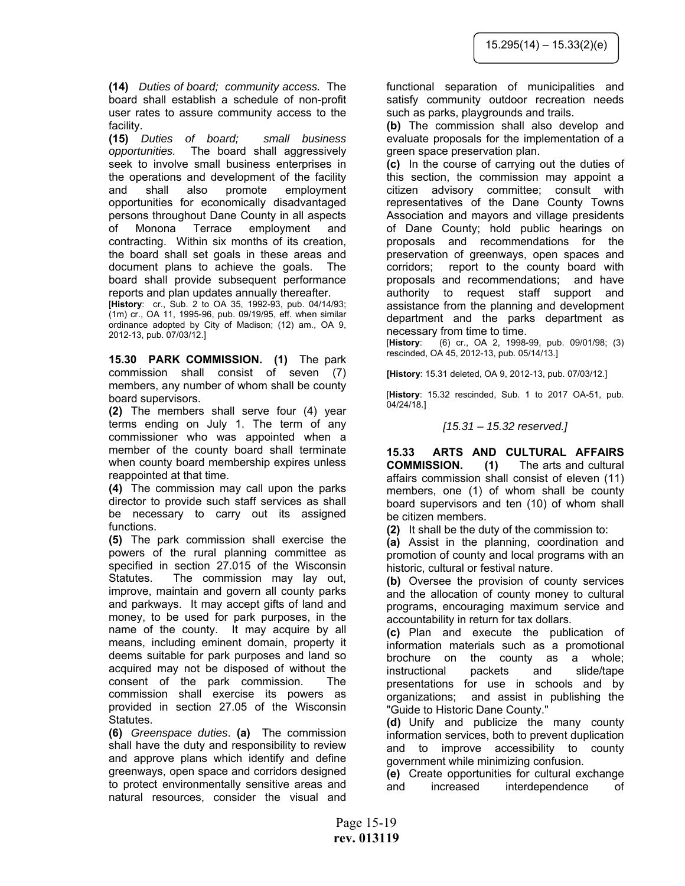**(14)** *Duties of board; community access.* The board shall establish a schedule of non-profit user rates to assure community access to the facility.

**(15)** *Duties of board; small business opportunities.* The board shall aggressively seek to involve small business enterprises in the operations and development of the facility and shall also promote employment opportunities for economically disadvantaged persons throughout Dane County in all aspects of Monona Terrace employment and contracting. Within six months of its creation, the board shall set goals in these areas and document plans to achieve the goals. The board shall provide subsequent performance reports and plan updates annually thereafter.

[**History**: cr., Sub. 2 to OA 35, 1992-93, pub. 04/14/93; (1m) cr., OA 11, 1995-96, pub. 09/19/95, eff. when similar ordinance adopted by City of Madison; (12) am., OA 9, 2012-13, pub. 07/03/12.]

**15.30 PARK COMMISSION. (1)** The park commission shall consist of seven (7) members, any number of whom shall be county board supervisors.

**(2)** The members shall serve four (4) year terms ending on July 1. The term of any commissioner who was appointed when a member of the county board shall terminate when county board membership expires unless reappointed at that time.

**(4)** The commission may call upon the parks director to provide such staff services as shall be necessary to carry out its assigned functions.

**(5)** The park commission shall exercise the powers of the rural planning committee as specified in section 27.015 of the Wisconsin Statutes. The commission may lay out, improve, maintain and govern all county parks and parkways. It may accept gifts of land and money, to be used for park purposes, in the name of the county. It may acquire by all means, including eminent domain, property it deems suitable for park purposes and land so acquired may not be disposed of without the consent of the park commission. The commission shall exercise its powers as provided in section 27.05 of the Wisconsin Statutes.

**(6)** *Greenspace duties*. **(a)** The commission shall have the duty and responsibility to review and approve plans which identify and define greenways, open space and corridors designed to protect environmentally sensitive areas and natural resources, consider the visual and

functional separation of municipalities and satisfy community outdoor recreation needs such as parks, playgrounds and trails.

**(b)** The commission shall also develop and evaluate proposals for the implementation of a green space preservation plan.

**(c)** In the course of carrying out the duties of this section, the commission may appoint a citizen advisory committee; consult with representatives of the Dane County Towns Association and mayors and village presidents of Dane County; hold public hearings on proposals and recommendations for the preservation of greenways, open spaces and corridors; report to the county board with proposals and recommendations; and have authority to request staff support and assistance from the planning and development department and the parks department as necessary from time to time.

[**History**: (6) cr., OA 2, 1998-99, pub. 09/01/98; (3) rescinded, OA 45, 2012-13, pub. 05/14/13.]

**[History**: 15.31 deleted, OA 9, 2012-13, pub. 07/03/12.]

[**History**: 15.32 rescinded, Sub. 1 to 2017 OA-51, pub. 04/24/18.]

#### *[15.31 – 15.32 reserved.]*

**15.33 ARTS AND CULTURAL AFFAIRS COMMISSION. (1)** The arts and cultural affairs commission shall consist of eleven (11) members, one (1) of whom shall be county board supervisors and ten (10) of whom shall be citizen members.

**(2)** It shall be the duty of the commission to:

**(a)** Assist in the planning, coordination and promotion of county and local programs with an historic, cultural or festival nature.

**(b)** Oversee the provision of county services and the allocation of county money to cultural programs, encouraging maximum service and accountability in return for tax dollars.

**(c)** Plan and execute the publication of information materials such as a promotional brochure on the county as a whole; instructional packets and slide/tape presentations for use in schools and by organizations; and assist in publishing the "Guide to Historic Dane County."

**(d)** Unify and publicize the many county information services, both to prevent duplication and to improve accessibility to county government while minimizing confusion.

**(e)** Create opportunities for cultural exchange and increased interdependence of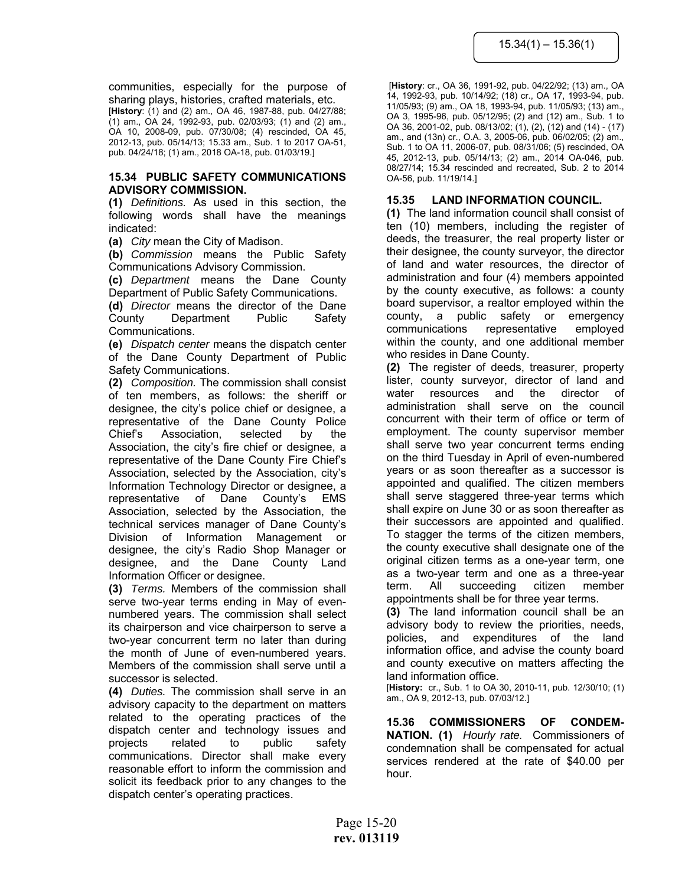communities, especially for the purpose of sharing plays, histories, crafted materials, etc.

[**History**: (1) and (2) am., OA 46, 1987-88, pub. 04/27/88; (1) am., OA 24, 1992-93, pub. 02/03/93; (1) and (2) am., OA 10, 2008-09, pub. 07/30/08; (4) rescinded, OA 45, 2012-13, pub. 05/14/13; 15.33 am., Sub. 1 to 2017 OA-51, pub. 04/24/18; (1) am., 2018 OA-18, pub. 01/03/19.]

#### **15.34 PUBLIC SAFETY COMMUNICATIONS ADVISORY COMMISSION.**

**(1)** *Definitions.* As used in this section, the following words shall have the meanings indicated:

**(a)** *City* mean the City of Madison.

**(b)** *Commission* means the Public Safety Communications Advisory Commission.

**(c)** *Department* means the Dane County Department of Public Safety Communications.

**(d)** *Director* means the director of the Dane County Department Public Safety Communications.

**(e)** *Dispatch center* means the dispatch center of the Dane County Department of Public Safety Communications.

**(2)** *Composition.* The commission shall consist of ten members, as follows: the sheriff or designee, the city's police chief or designee, a representative of the Dane County Police Chief's Association, selected by the Association, the city's fire chief or designee, a representative of the Dane County Fire Chief's Association, selected by the Association, city's Information Technology Director or designee, a representative of Dane County's EMS Association, selected by the Association, the technical services manager of Dane County's Division of Information Management or designee, the city's Radio Shop Manager or designee, and the Dane County Land Information Officer or designee.

**(3)** *Terms.* Members of the commission shall serve two-year terms ending in May of evennumbered years. The commission shall select its chairperson and vice chairperson to serve a two-year concurrent term no later than during the month of June of even-numbered years. Members of the commission shall serve until a successor is selected.

**(4)** *Duties.* The commission shall serve in an advisory capacity to the department on matters related to the operating practices of the dispatch center and technology issues and projects related to public safety communications. Director shall make every reasonable effort to inform the commission and solicit its feedback prior to any changes to the dispatch center's operating practices.

 [**History**: cr., OA 36, 1991-92, pub. 04/22/92; (13) am., OA 14, 1992-93, pub. 10/14/92; (18) cr., OA 17, 1993-94, pub. 11/05/93; (9) am., OA 18, 1993-94, pub. 11/05/93; (13) am., OA 3, 1995-96, pub. 05/12/95; (2) and (12) am., Sub. 1 to OA 36, 2001-02, pub. 08/13/02; (1), (2), (12) and (14) - (17) am., and (13n) cr., O.A. 3, 2005-06, pub. 06/02/05; (2) am., Sub. 1 to OA 11, 2006-07, pub. 08/31/06; (5) rescinded, OA 45, 2012-13, pub. 05/14/13; (2) am., 2014 OA-046, pub. 08/27/14; 15.34 rescinded and recreated, Sub. 2 to 2014 OA-56, pub. 11/19/14.]

# **15.35 LAND INFORMATION COUNCIL.**

**(1)** The land information council shall consist of ten (10) members, including the register of deeds, the treasurer, the real property lister or their designee, the county surveyor, the director of land and water resources, the director of administration and four (4) members appointed by the county executive, as follows: a county board supervisor, a realtor employed within the county, a public safety or emergency communications representative employed within the county, and one additional member who resides in Dane County.

**(2)** The register of deeds, treasurer, property lister, county surveyor, director of land and water resources and the director of administration shall serve on the council concurrent with their term of office or term of employment. The county supervisor member shall serve two year concurrent terms ending on the third Tuesday in April of even-numbered years or as soon thereafter as a successor is appointed and qualified. The citizen members shall serve staggered three-year terms which shall expire on June 30 or as soon thereafter as their successors are appointed and qualified. To stagger the terms of the citizen members, the county executive shall designate one of the original citizen terms as a one-year term, one as a two-year term and one as a three-year term. All succeeding citizen member appointments shall be for three year terms.

**(3)** The land information council shall be an advisory body to review the priorities, needs, policies, and expenditures of the land information office, and advise the county board and county executive on matters affecting the land information office.

[**History:** cr., Sub. 1 to OA 30, 2010-11, pub. 12/30/10; (1) am., OA 9, 2012-13, pub. 07/03/12.]

**15.36 COMMISSIONERS OF CONDEM-NATION. (1)** *Hourly rate.* Commissioners of condemnation shall be compensated for actual services rendered at the rate of \$40.00 per hour.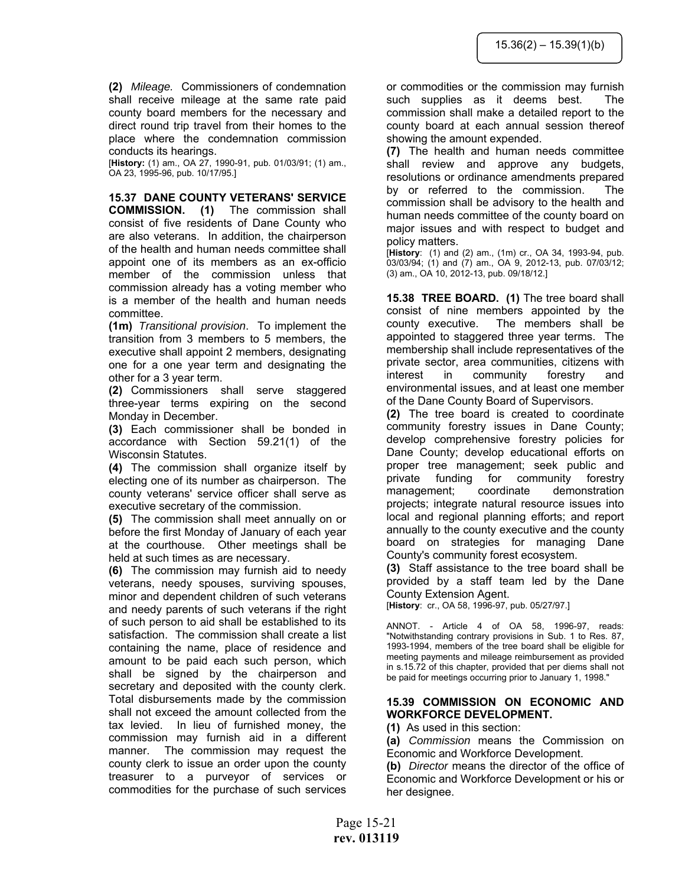**(2)** *Mileage.* Commissioners of condemnation shall receive mileage at the same rate paid county board members for the necessary and direct round trip travel from their homes to the place where the condemnation commission conducts its hearings.

[**History:** (1) am., OA 27, 1990-91, pub. 01/03/91; (1) am., OA 23, 1995-96, pub. 10/17/95.]

## **15.37 DANE COUNTY VETERANS' SERVICE**

**COMMISSION. (1)** The commission shall consist of five residents of Dane County who are also veterans. In addition, the chairperson of the health and human needs committee shall appoint one of its members as an ex-officio member of the commission unless that commission already has a voting member who is a member of the health and human needs committee.

**(1m)** *Transitional provision*. To implement the transition from 3 members to 5 members, the executive shall appoint 2 members, designating one for a one year term and designating the other for a 3 year term.

**(2)** Commissioners shall serve staggered three-year terms expiring on the second Monday in December.

**(3)** Each commissioner shall be bonded in accordance with Section 59.21(1) of the Wisconsin Statutes.

**(4)** The commission shall organize itself by electing one of its number as chairperson. The county veterans' service officer shall serve as executive secretary of the commission.

**(5)** The commission shall meet annually on or before the first Monday of January of each year at the courthouse. Other meetings shall be held at such times as are necessary.

**(6)** The commission may furnish aid to needy veterans, needy spouses, surviving spouses, minor and dependent children of such veterans and needy parents of such veterans if the right of such person to aid shall be established to its satisfaction. The commission shall create a list containing the name, place of residence and amount to be paid each such person, which shall be signed by the chairperson and secretary and deposited with the county clerk. Total disbursements made by the commission shall not exceed the amount collected from the tax levied. In lieu of furnished money, the commission may furnish aid in a different manner. The commission may request the county clerk to issue an order upon the county treasurer to a purveyor of services or commodities for the purchase of such services

or commodities or the commission may furnish such supplies as it deems best. The commission shall make a detailed report to the county board at each annual session thereof showing the amount expended.

**(7)** The health and human needs committee shall review and approve any budgets, resolutions or ordinance amendments prepared by or referred to the commission. The commission shall be advisory to the health and human needs committee of the county board on major issues and with respect to budget and policy matters.

[**History**: (1) and (2) am., (1m) cr., OA 34, 1993-94, pub. 03/03/94; (1) and (7) am., OA 9, 2012-13, pub. 07/03/12; (3) am., OA 10, 2012-13, pub. 09/18/12.]

**15.38 TREE BOARD. (1)** The tree board shall consist of nine members appointed by the county executive. The members shall be appointed to staggered three year terms. The membership shall include representatives of the private sector, area communities, citizens with interest in community forestry and environmental issues, and at least one member of the Dane County Board of Supervisors.

**(2)** The tree board is created to coordinate community forestry issues in Dane County; develop comprehensive forestry policies for Dane County; develop educational efforts on proper tree management; seek public and private funding for community forestry management; coordinate demonstration projects; integrate natural resource issues into local and regional planning efforts; and report annually to the county executive and the county board on strategies for managing Dane County's community forest ecosystem.

**(3)** Staff assistance to the tree board shall be provided by a staff team led by the Dane County Extension Agent.

[**History**: cr., OA 58, 1996-97, pub. 05/27/97.]

ANNOT. - Article 4 of OA 58, 1996-97, reads: "Notwithstanding contrary provisions in Sub. 1 to Res. 87, 1993-1994, members of the tree board shall be eligible for meeting payments and mileage reimbursement as provided in s.15.72 of this chapter, provided that per diems shall not be paid for meetings occurring prior to January 1, 1998."

# **15.39 COMMISSION ON ECONOMIC AND WORKFORCE DEVELOPMENT.**

**(1)** As used in this section:

**(a)** *Commission* means the Commission on Economic and Workforce Development.

**(b)** *Director* means the director of the office of Economic and Workforce Development or his or her designee.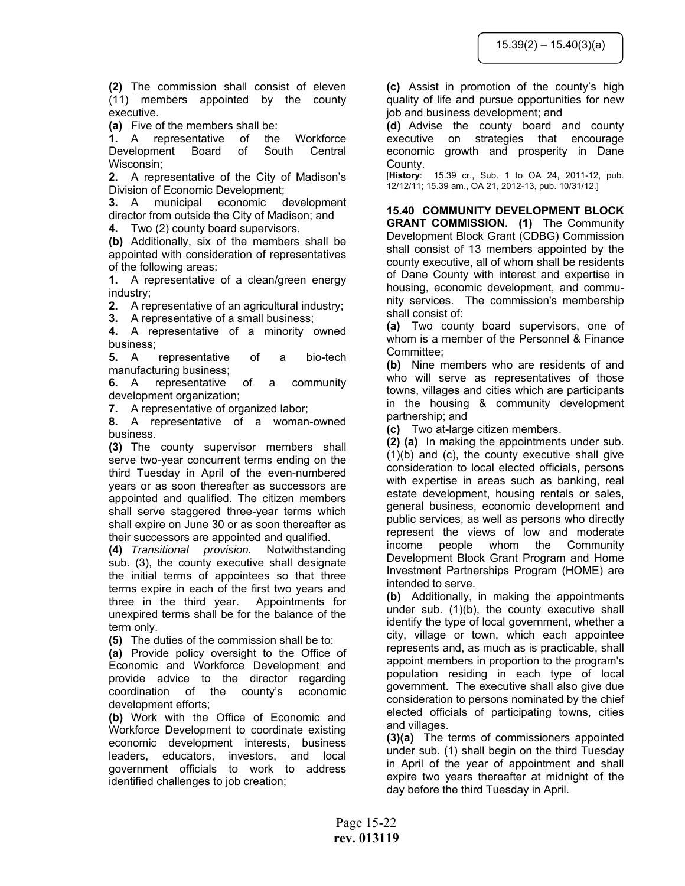**(2)** The commission shall consist of eleven (11) members appointed by the county executive.

**(a)** Five of the members shall be:

**1.** A representative of the Workforce Development Board of South Central Wisconsin;

**2.** A representative of the City of Madison's Division of Economic Development;

**3.** A municipal economic development director from outside the City of Madison; and

**4.** Two (2) county board supervisors.

**(b)** Additionally, six of the members shall be appointed with consideration of representatives of the following areas:

**1.** A representative of a clean/green energy industry;

**2.** A representative of an agricultural industry;

**3.** A representative of a small business;

**4.** A representative of a minority owned business;

**5.** A representative of a bio-tech manufacturing business;

**6.** A representative of a community development organization;

**7.** A representative of organized labor;

**8.** A representative of a woman-owned business.

**(3)** The county supervisor members shall serve two-year concurrent terms ending on the third Tuesday in April of the even-numbered years or as soon thereafter as successors are appointed and qualified. The citizen members shall serve staggered three-year terms which shall expire on June 30 or as soon thereafter as their successors are appointed and qualified.

**(4)** *Transitional provision.* Notwithstanding sub. (3), the county executive shall designate the initial terms of appointees so that three terms expire in each of the first two years and three in the third year. Appointments for unexpired terms shall be for the balance of the term only.

**(5)** The duties of the commission shall be to:

**(a)** Provide policy oversight to the Office of Economic and Workforce Development and provide advice to the director regarding coordination of the county's economic development efforts;

**(b)** Work with the Office of Economic and Workforce Development to coordinate existing economic development interests, business leaders, educators, investors, and local government officials to work to address identified challenges to job creation;

**(c)** Assist in promotion of the county's high quality of life and pursue opportunities for new job and business development; and

**(d)** Advise the county board and county executive on strategies that encourage economic growth and prosperity in Dane County.

[**History**: 15.39 cr., Sub. 1 to OA 24, 2011-12, pub. 12/12/11; 15.39 am., OA 21, 2012-13, pub. 10/31/12.]

**15.40 COMMUNITY DEVELOPMENT BLOCK GRANT COMMISSION. (1)** The Community Development Block Grant (CDBG) Commission shall consist of 13 members appointed by the county executive, all of whom shall be residents of Dane County with interest and expertise in housing, economic development, and community services. The commission's membership shall consist of:

**(a)** Two county board supervisors, one of whom is a member of the Personnel & Finance Committee;

**(b)** Nine members who are residents of and who will serve as representatives of those towns, villages and cities which are participants in the housing & community development partnership; and

**(c)** Two at-large citizen members.

**(2) (a)** In making the appointments under sub. (1)(b) and (c), the county executive shall give consideration to local elected officials, persons with expertise in areas such as banking, real estate development, housing rentals or sales, general business, economic development and public services, as well as persons who directly represent the views of low and moderate income people whom the Community Development Block Grant Program and Home Investment Partnerships Program (HOME) are intended to serve.

**(b)** Additionally, in making the appointments under sub. (1)(b), the county executive shall identify the type of local government, whether a city, village or town, which each appointee represents and, as much as is practicable, shall appoint members in proportion to the program's population residing in each type of local government. The executive shall also give due consideration to persons nominated by the chief elected officials of participating towns, cities and villages.

**(3)(a)** The terms of commissioners appointed under sub. (1) shall begin on the third Tuesday in April of the year of appointment and shall expire two years thereafter at midnight of the day before the third Tuesday in April.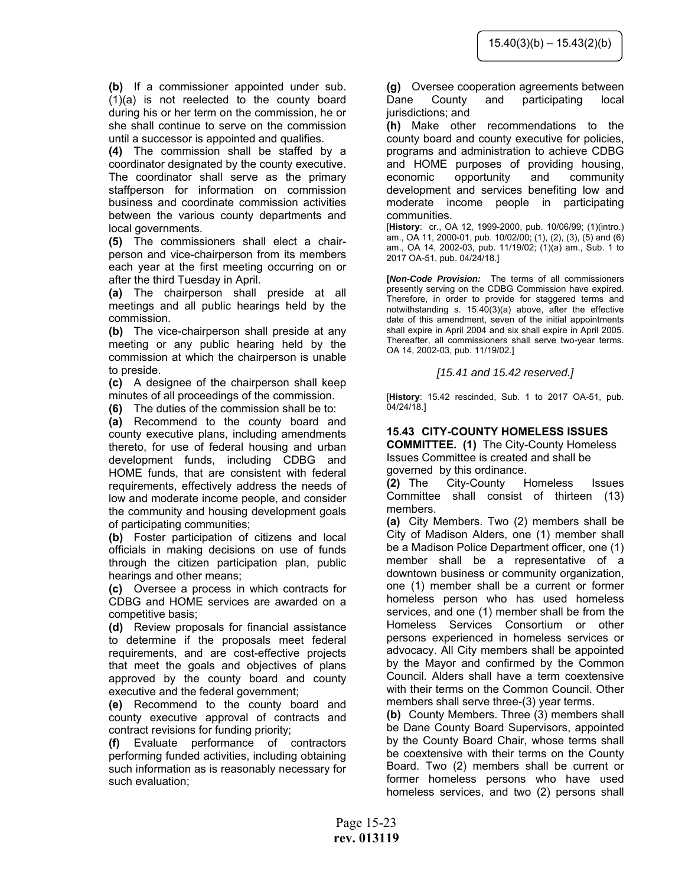**(b)** If a commissioner appointed under sub. (1)(a) is not reelected to the county board during his or her term on the commission, he or she shall continue to serve on the commission until a successor is appointed and qualifies.

**(4)** The commission shall be staffed by a coordinator designated by the county executive. The coordinator shall serve as the primary staffperson for information on commission business and coordinate commission activities between the various county departments and local governments.

**(5)** The commissioners shall elect a chairperson and vice-chairperson from its members each year at the first meeting occurring on or after the third Tuesday in April.

**(a)** The chairperson shall preside at all meetings and all public hearings held by the commission.

**(b)** The vice-chairperson shall preside at any meeting or any public hearing held by the commission at which the chairperson is unable to preside.

**(c)** A designee of the chairperson shall keep minutes of all proceedings of the commission.

**(6)** The duties of the commission shall be to:

**(a)** Recommend to the county board and county executive plans, including amendments thereto, for use of federal housing and urban development funds, including CDBG and HOME funds, that are consistent with federal requirements, effectively address the needs of low and moderate income people, and consider the community and housing development goals of participating communities;

**(b)** Foster participation of citizens and local officials in making decisions on use of funds through the citizen participation plan, public hearings and other means;

**(c)** Oversee a process in which contracts for CDBG and HOME services are awarded on a competitive basis;

**(d)** Review proposals for financial assistance to determine if the proposals meet federal requirements, and are cost-effective projects that meet the goals and objectives of plans approved by the county board and county executive and the federal government;

**(e)** Recommend to the county board and county executive approval of contracts and contract revisions for funding priority;

**(f)** Evaluate performance of contractors performing funded activities, including obtaining such information as is reasonably necessary for such evaluation;

**(g)** Oversee cooperation agreements between Dane County and participating local jurisdictions; and

**(h)** Make other recommendations to the county board and county executive for policies, programs and administration to achieve CDBG and HOME purposes of providing housing, economic opportunity and community development and services benefiting low and moderate income people in participating communities.

[**History**: cr., OA 12, 1999-2000, pub. 10/06/99; (1)(intro.) am., OA 11, 2000-01, pub. 10/02/00; (1), (2), (3), (5) and (6) am., OA 14, 2002-03, pub. 11/19/02; (1)(a) am., Sub. 1 to 2017 OA-51, pub. 04/24/18.]

**[***Non-Code Provision:* The terms of all commissioners presently serving on the CDBG Commission have expired. Therefore, in order to provide for staggered terms and notwithstanding s. 15.40(3)(a) above, after the effective date of this amendment, seven of the initial appointments shall expire in April 2004 and six shall expire in April 2005. Thereafter, all commissioners shall serve two-year terms. OA 14, 2002-03, pub. 11/19/02.]

*[15.41 and 15.42 reserved.]* 

[**History**: 15.42 rescinded, Sub. 1 to 2017 OA-51, pub. 04/24/18.]

# **15.43 CITY-COUNTY HOMELESS ISSUES**

**COMMITTEE. (1)** The City-County Homeless Issues Committee is created and shall be governed by this ordinance.

**(2)** The City-County Homeless Issues Committee shall consist of thirteen (13) members.

**(a)** City Members. Two (2) members shall be City of Madison Alders, one (1) member shall be a Madison Police Department officer, one (1) member shall be a representative of a downtown business or community organization, one (1) member shall be a current or former homeless person who has used homeless services, and one (1) member shall be from the Homeless Services Consortium or other persons experienced in homeless services or advocacy. All City members shall be appointed by the Mayor and confirmed by the Common Council. Alders shall have a term coextensive with their terms on the Common Council. Other members shall serve three-(3) year terms.

**(b)** County Members. Three (3) members shall be Dane County Board Supervisors, appointed by the County Board Chair, whose terms shall be coextensive with their terms on the County Board. Two (2) members shall be current or former homeless persons who have used homeless services, and two (2) persons shall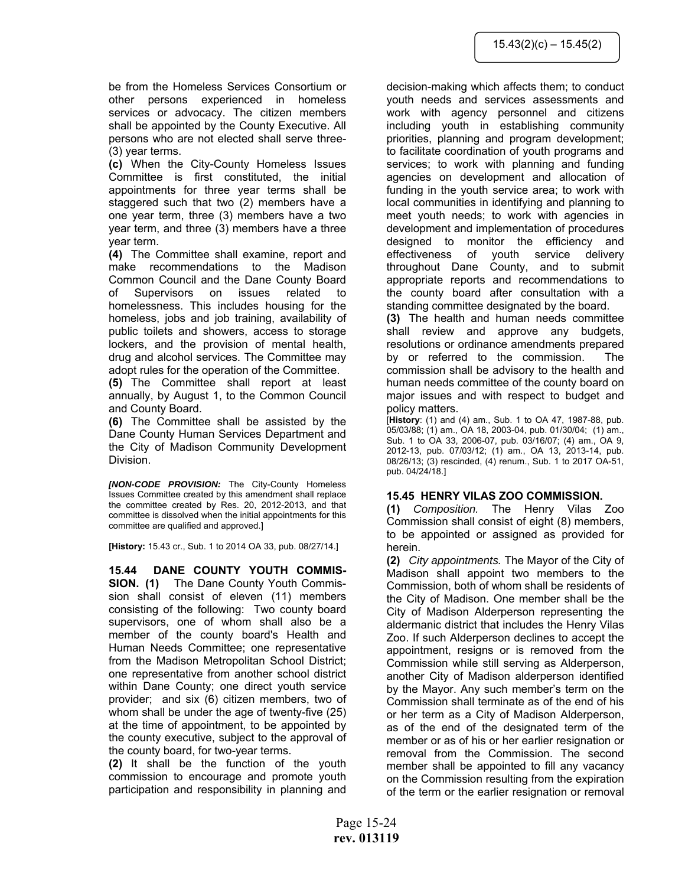be from the Homeless Services Consortium or other persons experienced in homeless services or advocacy. The citizen members shall be appointed by the County Executive. All persons who are not elected shall serve three- (3) year terms.

**(c)** When the City-County Homeless Issues Committee is first constituted, the initial appointments for three year terms shall be staggered such that two (2) members have a one year term, three (3) members have a two year term, and three (3) members have a three year term.

**(4)** The Committee shall examine, report and make recommendations to the Madison Common Council and the Dane County Board of Supervisors on issues related to homelessness. This includes housing for the homeless, jobs and job training, availability of public toilets and showers, access to storage lockers, and the provision of mental health, drug and alcohol services. The Committee may adopt rules for the operation of the Committee.

**(5)** The Committee shall report at least annually, by August 1, to the Common Council and County Board.

**(6)** The Committee shall be assisted by the Dane County Human Services Department and the City of Madison Community Development Division.

*[NON-CODE PROVISION:* The City-County Homeless Issues Committee created by this amendment shall replace the committee created by Res. 20, 2012-2013, and that committee is dissolved when the initial appointments for this committee are qualified and approved.]

**[History:** 15.43 cr., Sub. 1 to 2014 OA 33, pub. 08/27/14.]

**15.44 DANE COUNTY YOUTH COMMIS-SION. (1)** The Dane County Youth Commission shall consist of eleven (11) members consisting of the following: Two county board supervisors, one of whom shall also be a member of the county board's Health and Human Needs Committee; one representative from the Madison Metropolitan School District; one representative from another school district within Dane County; one direct youth service provider; and six (6) citizen members, two of whom shall be under the age of twenty-five (25) at the time of appointment, to be appointed by the county executive, subject to the approval of the county board, for two-year terms.

**(2)** It shall be the function of the youth commission to encourage and promote youth participation and responsibility in planning and decision-making which affects them; to conduct youth needs and services assessments and work with agency personnel and citizens including youth in establishing community priorities, planning and program development; to facilitate coordination of youth programs and services; to work with planning and funding agencies on development and allocation of funding in the youth service area; to work with local communities in identifying and planning to meet youth needs; to work with agencies in development and implementation of procedures designed to monitor the efficiency and effectiveness of youth service delivery throughout Dane County, and to submit appropriate reports and recommendations to the county board after consultation with a standing committee designated by the board.

**(3)** The health and human needs committee shall review and approve any budgets, resolutions or ordinance amendments prepared by or referred to the commission. The commission shall be advisory to the health and human needs committee of the county board on major issues and with respect to budget and policy matters.

[**History**: (1) and (4) am., Sub. 1 to OA 47, 1987-88, pub. 05/03/88; (1) am., OA 18, 2003-04, pub. 01/30/04; (1) am., Sub. 1 to OA 33, 2006-07, pub. 03/16/07; (4) am., OA 9, 2012-13, pub. 07/03/12; (1) am., OA 13, 2013-14, pub. 08/26/13; (3) rescinded, (4) renum., Sub. 1 to 2017 OA-51, pub. 04/24/18.]

# **15.45 HENRY VILAS ZOO COMMISSION.**

**(1)** *Composition.* The Henry Vilas Zoo Commission shall consist of eight (8) members, to be appointed or assigned as provided for herein.

**(2)** *City appointments.* The Mayor of the City of Madison shall appoint two members to the Commission, both of whom shall be residents of the City of Madison. One member shall be the City of Madison Alderperson representing the aldermanic district that includes the Henry Vilas Zoo. If such Alderperson declines to accept the appointment, resigns or is removed from the Commission while still serving as Alderperson, another City of Madison alderperson identified by the Mayor. Any such member's term on the Commission shall terminate as of the end of his or her term as a City of Madison Alderperson, as of the end of the designated term of the member or as of his or her earlier resignation or removal from the Commission. The second member shall be appointed to fill any vacancy on the Commission resulting from the expiration of the term or the earlier resignation or removal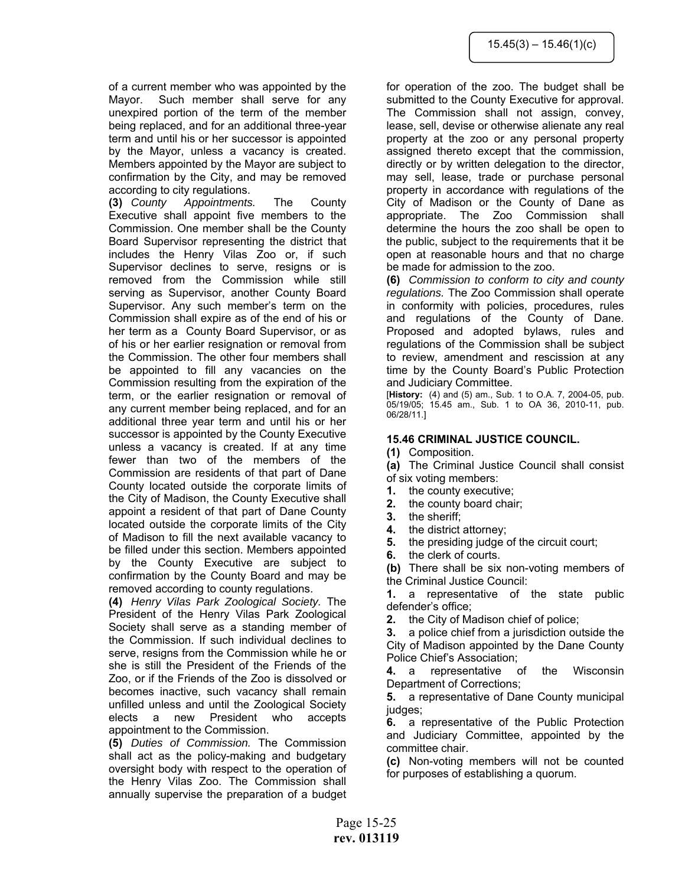of a current member who was appointed by the Mayor. Such member shall serve for any unexpired portion of the term of the member being replaced, and for an additional three-year term and until his or her successor is appointed by the Mayor, unless a vacancy is created. Members appointed by the Mayor are subject to confirmation by the City, and may be removed according to city regulations.

**(3)** *County Appointments.* The County Executive shall appoint five members to the Commission. One member shall be the County Board Supervisor representing the district that includes the Henry Vilas Zoo or, if such Supervisor declines to serve, resigns or is removed from the Commission while still serving as Supervisor, another County Board Supervisor. Any such member's term on the Commission shall expire as of the end of his or her term as a County Board Supervisor, or as of his or her earlier resignation or removal from the Commission. The other four members shall be appointed to fill any vacancies on the Commission resulting from the expiration of the term, or the earlier resignation or removal of any current member being replaced, and for an additional three year term and until his or her successor is appointed by the County Executive unless a vacancy is created. If at any time fewer than two of the members of the Commission are residents of that part of Dane County located outside the corporate limits of the City of Madison, the County Executive shall appoint a resident of that part of Dane County located outside the corporate limits of the City of Madison to fill the next available vacancy to be filled under this section. Members appointed by the County Executive are subject to confirmation by the County Board and may be removed according to county regulations.

**(4)** *Henry Vilas Park Zoological Society.* The President of the Henry Vilas Park Zoological Society shall serve as a standing member of the Commission. If such individual declines to serve, resigns from the Commission while he or she is still the President of the Friends of the Zoo, or if the Friends of the Zoo is dissolved or becomes inactive, such vacancy shall remain unfilled unless and until the Zoological Society elects a new President who accepts appointment to the Commission.

**(5)** *Duties of Commission.* The Commission shall act as the policy-making and budgetary oversight body with respect to the operation of the Henry Vilas Zoo. The Commission shall annually supervise the preparation of a budget for operation of the zoo. The budget shall be submitted to the County Executive for approval. The Commission shall not assign, convey, lease, sell, devise or otherwise alienate any real property at the zoo or any personal property assigned thereto except that the commission, directly or by written delegation to the director, may sell, lease, trade or purchase personal property in accordance with regulations of the City of Madison or the County of Dane as appropriate. The Zoo Commission shall determine the hours the zoo shall be open to the public, subject to the requirements that it be open at reasonable hours and that no charge be made for admission to the zoo.

**(6)** *Commission to conform to city and county regulations.* The Zoo Commission shall operate in conformity with policies, procedures, rules and regulations of the County of Dane. Proposed and adopted bylaws, rules and regulations of the Commission shall be subject to review, amendment and rescission at any time by the County Board's Public Protection and Judiciary Committee.

[**History:** (4) and (5) am., Sub. 1 to O.A. 7, 2004-05, pub. 05/19/05; 15.45 am., Sub. 1 to OA 36, 2010-11, pub. 06/28/11.]

# **15.46 CRIMINAL JUSTICE COUNCIL.**

**(1)** Composition.

**(a)** The Criminal Justice Council shall consist of six voting members:

- **1.** the county executive;
- **2.** the county board chair;
- **3.** the sheriff;
- **4.** the district attorney;
- **5.** the presiding judge of the circuit court;
- **6.** the clerk of courts.

**(b)** There shall be six non-voting members of the Criminal Justice Council:

**1.** a representative of the state public defender's office;

**2.** the City of Madison chief of police;

**3.** a police chief from a jurisdiction outside the City of Madison appointed by the Dane County Police Chief's Association;

**4.** a representative of the Wisconsin Department of Corrections;

**5.** a representative of Dane County municipal judges;

**6.** a representative of the Public Protection and Judiciary Committee, appointed by the committee chair.

**(c)** Non-voting members will not be counted for purposes of establishing a quorum.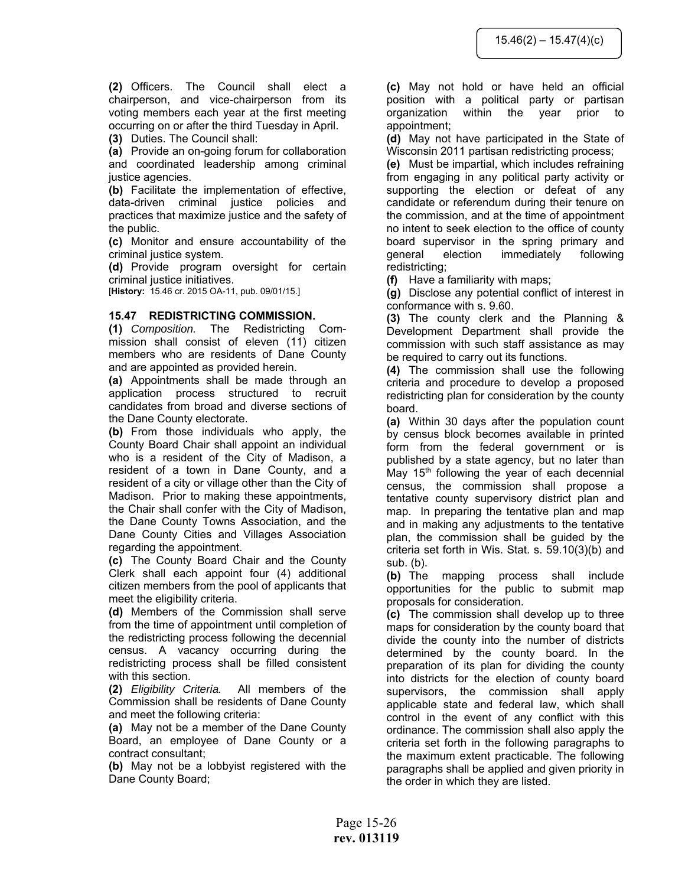**(2)** Officers. The Council shall elect a chairperson, and vice-chairperson from its voting members each year at the first meeting occurring on or after the third Tuesday in April.

**(3)** Duties. The Council shall:

**(a)** Provide an on-going forum for collaboration and coordinated leadership among criminal justice agencies.

**(b)** Facilitate the implementation of effective, data-driven criminal justice policies and practices that maximize justice and the safety of the public.

**(c)** Monitor and ensure accountability of the criminal justice system.

**(d)** Provide program oversight for certain criminal justice initiatives.

[**History:** 15.46 cr. 2015 OA-11, pub. 09/01/15.]

#### **15.47 REDISTRICTING COMMISSION.**

**(1)** *Composition.* The Redistricting Commission shall consist of eleven (11) citizen members who are residents of Dane County and are appointed as provided herein.

**(a)** Appointments shall be made through an application process structured to recruit candidates from broad and diverse sections of the Dane County electorate.

**(b)** From those individuals who apply, the County Board Chair shall appoint an individual who is a resident of the City of Madison, a resident of a town in Dane County, and a resident of a city or village other than the City of Madison. Prior to making these appointments, the Chair shall confer with the City of Madison, the Dane County Towns Association, and the Dane County Cities and Villages Association regarding the appointment.

**(c)** The County Board Chair and the County Clerk shall each appoint four (4) additional citizen members from the pool of applicants that meet the eligibility criteria.

**(d)** Members of the Commission shall serve from the time of appointment until completion of the redistricting process following the decennial census. A vacancy occurring during the redistricting process shall be filled consistent with this section.

**(2)** *Eligibility Criteria.* All members of the Commission shall be residents of Dane County and meet the following criteria:

**(a)** May not be a member of the Dane County Board, an employee of Dane County or a contract consultant;

**(b)** May not be a lobbyist registered with the Dane County Board;

**(c)** May not hold or have held an official position with a political party or partisan organization within the year prior to appointment;

**(d)** May not have participated in the State of Wisconsin 2011 partisan redistricting process;

**(e)** Must be impartial, which includes refraining from engaging in any political party activity or supporting the election or defeat of any candidate or referendum during their tenure on the commission, and at the time of appointment no intent to seek election to the office of county board supervisor in the spring primary and general election immediately following redistricting;

**(f)** Have a familiarity with maps;

**(g)** Disclose any potential conflict of interest in conformance with s. 9.60.

**(3)** The county clerk and the Planning & Development Department shall provide the commission with such staff assistance as may be required to carry out its functions.

**(4)** The commission shall use the following criteria and procedure to develop a proposed redistricting plan for consideration by the county board.

**(a)** Within 30 days after the population count by census block becomes available in printed form from the federal government or is published by a state agency, but no later than May  $15<sup>th</sup>$  following the year of each decennial census, the commission shall propose a tentative county supervisory district plan and map. In preparing the tentative plan and map and in making any adjustments to the tentative plan, the commission shall be guided by the criteria set forth in Wis. Stat. s. 59.10(3)(b) and sub. (b).

**(b)** The mapping process shall include opportunities for the public to submit map proposals for consideration.

**(c)** The commission shall develop up to three maps for consideration by the county board that divide the county into the number of districts determined by the county board. In the preparation of its plan for dividing the county into districts for the election of county board supervisors, the commission shall apply applicable state and federal law, which shall control in the event of any conflict with this ordinance. The commission shall also apply the criteria set forth in the following paragraphs to the maximum extent practicable. The following paragraphs shall be applied and given priority in the order in which they are listed.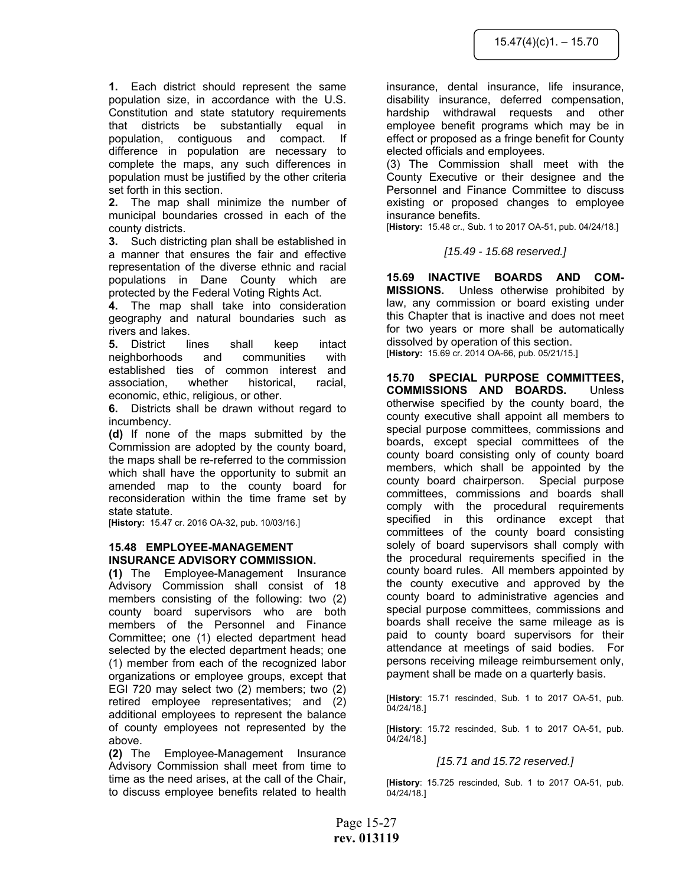**1.** Each district should represent the same population size, in accordance with the U.S. Constitution and state statutory requirements that districts be substantially equal in population, contiguous and compact. If difference in population are necessary to complete the maps, any such differences in population must be justified by the other criteria set forth in this section.

**2.** The map shall minimize the number of municipal boundaries crossed in each of the county districts.

**3.** Such districting plan shall be established in a manner that ensures the fair and effective representation of the diverse ethnic and racial populations in Dane County which are protected by the Federal Voting Rights Act.

**4.** The map shall take into consideration geography and natural boundaries such as rivers and lakes.

**5.** District lines shall keep intact neighborhoods and communities with established ties of common interest and association, whether historical, racial, economic, ethic, religious, or other.

**6.** Districts shall be drawn without regard to incumbency.

**(d)** If none of the maps submitted by the Commission are adopted by the county board, the maps shall be re-referred to the commission which shall have the opportunity to submit an amended map to the county board for reconsideration within the time frame set by state statute.

[**History:** 15.47 cr. 2016 OA-32, pub. 10/03/16.]

#### **15.48 EMPLOYEE-MANAGEMENT INSURANCE ADVISORY COMMISSION.**

**(1)** The Employee-Management Insurance Advisory Commission shall consist of 18 members consisting of the following: two (2) county board supervisors who are both members of the Personnel and Finance Committee; one (1) elected department head selected by the elected department heads; one (1) member from each of the recognized labor organizations or employee groups, except that EGI 720 may select two (2) members; two (2) retired employee representatives; and (2) additional employees to represent the balance of county employees not represented by the above.

**(2)** The Employee-Management Insurance Advisory Commission shall meet from time to time as the need arises, at the call of the Chair, to discuss employee benefits related to health

insurance, dental insurance, life insurance, disability insurance, deferred compensation, hardship withdrawal requests and other employee benefit programs which may be in effect or proposed as a fringe benefit for County elected officials and employees.

(3) The Commission shall meet with the County Executive or their designee and the Personnel and Finance Committee to discuss existing or proposed changes to employee insurance benefits.

[**History:** 15.48 cr., Sub. 1 to 2017 OA-51, pub. 04/24/18.]

*[15.49 - 15.68 reserved.]*

**15.69 INACTIVE BOARDS AND COM-MISSIONS.** Unless otherwise prohibited by law, any commission or board existing under this Chapter that is inactive and does not meet for two years or more shall be automatically dissolved by operation of this section. [**History:** 15.69 cr. 2014 OA-66, pub. 05/21/15.]

**15.70 SPECIAL PURPOSE COMMITTEES, COMMISSIONS AND BOARDS.** Unless otherwise specified by the county board, the county executive shall appoint all members to special purpose committees, commissions and boards, except special committees of the county board consisting only of county board members, which shall be appointed by the county board chairperson. Special purpose committees, commissions and boards shall comply with the procedural requirements specified in this ordinance except that committees of the county board consisting solely of board supervisors shall comply with the procedural requirements specified in the county board rules. All members appointed by the county executive and approved by the county board to administrative agencies and special purpose committees, commissions and boards shall receive the same mileage as is paid to county board supervisors for their attendance at meetings of said bodies. For persons receiving mileage reimbursement only, payment shall be made on a quarterly basis.

[**History**: 15.71 rescinded, Sub. 1 to 2017 OA-51, pub. 04/24/18.]

[**History**: 15.72 rescinded, Sub. 1 to 2017 OA-51, pub. 04/24/18.]

#### *[15.71 and 15.72 reserved.]*

[**History**: 15.725 rescinded, Sub. 1 to 2017 OA-51, pub. 04/24/18.]